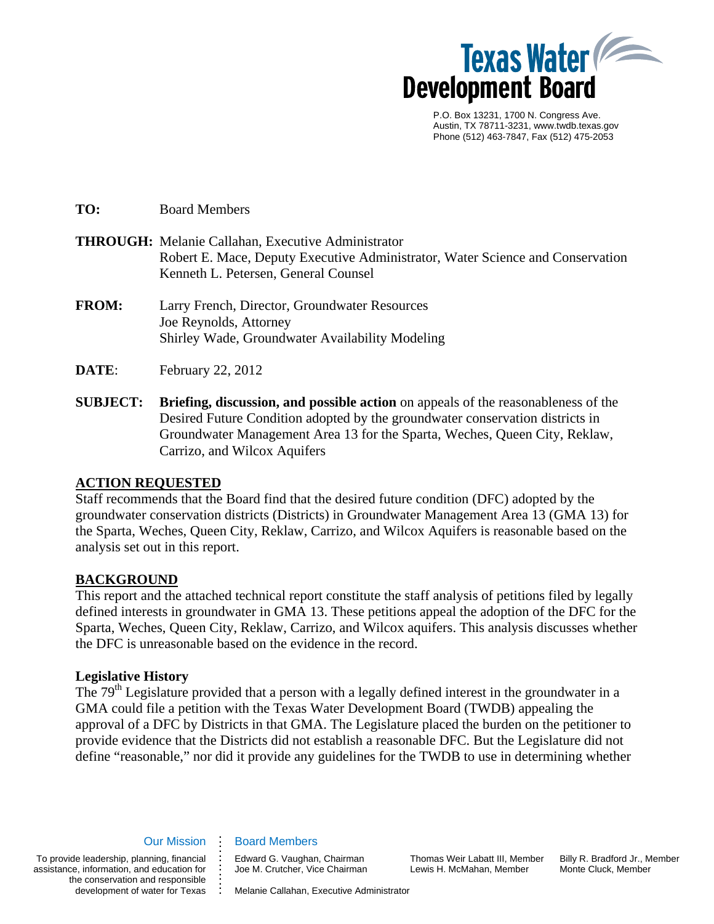

 P.O. Box 13231, 1700 N. Congress Ave. Austin, TX 78711-3231, www.twdb.texas.gov Phone (512) 463-7847, Fax (512) 475-2053

**TO:** Board Members

- **THROUGH:** Melanie Callahan, Executive Administrator Robert E. Mace, Deputy Executive Administrator, Water Science and Conservation Kenneth L. Petersen, General Counsel
- **FROM:** Larry French, Director, Groundwater Resources Joe Reynolds, Attorney Shirley Wade, Groundwater Availability Modeling
- **DATE:** February 22, 2012
- **SUBJECT: Briefing, discussion, and possible action** on appeals of the reasonableness of the Desired Future Condition adopted by the groundwater conservation districts in Groundwater Management Area 13 for the Sparta, Weches, Queen City, Reklaw, Carrizo, and Wilcox Aquifers

### **ACTION REQUESTED**

Staff recommends that the Board find that the desired future condition (DFC) adopted by the groundwater conservation districts (Districts) in Groundwater Management Area 13 (GMA 13) for the Sparta, Weches, Queen City, Reklaw, Carrizo, and Wilcox Aquifers is reasonable based on the analysis set out in this report.

### **BACKGROUND**

This report and the attached technical report constitute the staff analysis of petitions filed by legally defined interests in groundwater in GMA 13. These petitions appeal the adoption of the DFC for the Sparta, Weches, Queen City, Reklaw, Carrizo, and Wilcox aquifers. This analysis discusses whether the DFC is unreasonable based on the evidence in the record.

### **Legislative History**

The 79<sup>th</sup> Legislature provided that a person with a legally defined interest in the groundwater in a GMA could file a petition with the Texas Water Development Board (TWDB) appealing the approval of a DFC by Districts in that GMA. The Legislature placed the burden on the petitioner to provide evidence that the Districts did not establish a reasonable DFC. But the Legislature did not define "reasonable," nor did it provide any guidelines for the TWDB to use in determining whether

#### Our Mission

**. . . . . . . . . . . . .** 

To provide leadership, planning, financial assistance, information, and education for the conservation and responsible development of water for Texas Edward G. Vaughan, Chairman Joe M. Crutcher, Vice Chairman

Board Members

Thomas Weir Labatt III, Member Lewis H. McMahan, Member

Billy R. Bradford Jr., Member Monte Cluck, Member

Melanie Callahan, Executive Administrator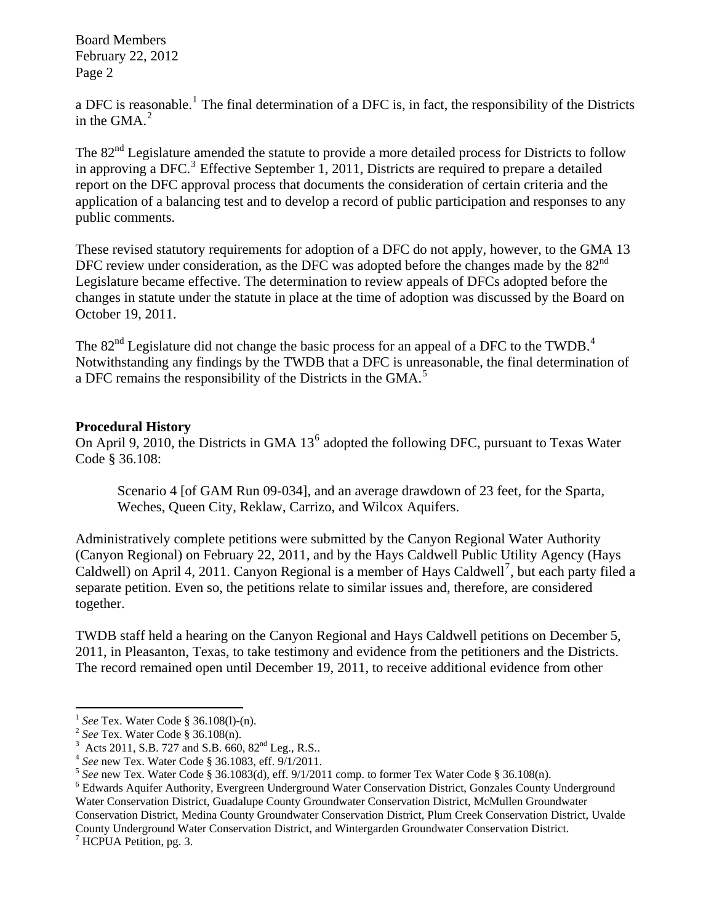a DFC is reasonable.<sup>[1](#page-1-0)</sup> The final determination of a DFC is, in fact, the responsibility of the Districts in the GMA. $<sup>2</sup>$  $<sup>2</sup>$  $<sup>2</sup>$ </sup>

The 82<sup>nd</sup> Legislature amended the statute to provide a more detailed process for Districts to follow in approving a DFC.<sup>[3](#page-1-2)</sup> Effective September 1, 2011, Districts are required to prepare a detailed report on the DFC approval process that documents the consideration of certain criteria and the application of a balancing test and to develop a record of public participation and responses to any public comments.

These revised statutory requirements for adoption of a DFC do not apply, however, to the GMA 13 DFC review under consideration, as the DFC was adopted before the changes made by the  $82<sup>nd</sup>$ Legislature became effective. The determination to review appeals of DFCs adopted before the changes in statute under the statute in place at the time of adoption was discussed by the Board on October 19, 2011.

The  $82<sup>nd</sup>$  Legislature did not change the basic process for an appeal of a DFC to the TWDB.<sup>[4](#page-1-3)</sup> Notwithstanding any findings by the TWDB that a DFC is unreasonable, the final determination of a DFC remains the responsibility of the Districts in the GMA.<sup>[5](#page-1-4)</sup>

### **Procedural History**

On April 9, 2010, the Districts in GMA 13<sup>[6](#page-1-5)</sup> adopted the following DFC, pursuant to Texas Water Code § 36.108:

Scenario 4 [of GAM Run 09-034], and an average drawdown of 23 feet, for the Sparta, Weches, Queen City, Reklaw, Carrizo, and Wilcox Aquifers.

Administratively complete petitions were submitted by the Canyon Regional Water Authority (Canyon Regional) on February 22, 2011, and by the Hays Caldwell Public Utility Agency (Hays Caldwell) on April 4, 2011. Canyon Regional is a member of Hays Caldwell<sup>[7](#page-1-6)</sup>, but each party filed a separate petition. Even so, the petitions relate to similar issues and, therefore, are considered together.

TWDB staff held a hearing on the Canyon Regional and Hays Caldwell petitions on December 5, 2011, in Pleasanton, Texas, to take testimony and evidence from the petitioners and the Districts. The record remained open until December 19, 2011, to receive additional evidence from other

Water Conservation District, Guadalupe County Groundwater Conservation District, McMullen Groundwater Conservation District, Medina County Groundwater Conservation District, Plum Creek Conservation District, Uvalde County Underground Water Conservation District, and Wintergarden Groundwater Conservation District.

<span id="page-1-6"></span><sup>7</sup> HCPUA Petition, pg. 3.

<sup>&</sup>lt;sup>1</sup> See Tex. Water Code § 36.108(1)-(n).

<span id="page-1-1"></span><span id="page-1-0"></span><sup>&</sup>lt;sup>2</sup> See Tex. Water Code § 36.108(n).<br><sup>3</sup> Acts 2011, S.B. 727 and S.B. 660, 82<sup>nd</sup> Leg., R.S..

<span id="page-1-3"></span><span id="page-1-2"></span><sup>&</sup>lt;sup>4</sup> See new Tex. Water Code § 36.1083, eff.  $9/1/2011$ .<br><sup>5</sup> See new Tex. Water Code § 36.1083(d), eff. 9/1/2011 comp. to former Tex Water Code § 36.108(n).

<span id="page-1-5"></span><span id="page-1-4"></span><sup>&</sup>lt;sup>6</sup> Edwards Aquifer Authority, Evergreen Underground Water Conservation District, Gonzales County Underground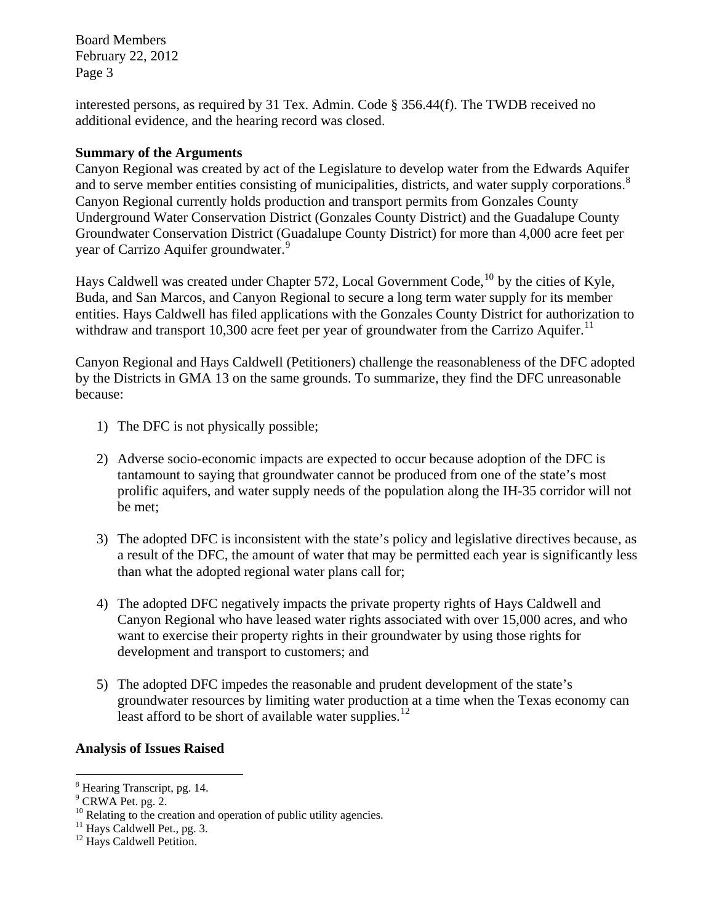interested persons, as required by 31 Tex. Admin. Code § 356.44(f). The TWDB received no additional evidence, and the hearing record was closed.

### **Summary of the Arguments**

Canyon Regional was created by act of the Legislature to develop water from the Edwards Aquifer and to serve member entities consisting of municipalities, districts, and water supply corporations.<sup>[8](#page-2-0)</sup> Canyon Regional currently holds production and transport permits from Gonzales County Underground Water Conservation District (Gonzales County District) and the Guadalupe County Groundwater Conservation District (Guadalupe County District) for more than 4,000 acre feet per year of Carrizo Aquifer groundwater.<sup>[9](#page-2-1)</sup>

Hays Caldwell was created under Chapter 572, Local Government Code,  $^{10}$  $^{10}$  $^{10}$  by the cities of Kyle, Buda, and San Marcos, and Canyon Regional to secure a long term water supply for its member entities. Hays Caldwell has filed applications with the Gonzales County District for authorization to withdraw and transport 10,300 acre feet per year of groundwater from the Carrizo Aquifer.<sup>[11](#page-2-3)</sup>

Canyon Regional and Hays Caldwell (Petitioners) challenge the reasonableness of the DFC adopted by the Districts in GMA 13 on the same grounds. To summarize, they find the DFC unreasonable because:

- 1) The DFC is not physically possible;
- 2) Adverse socio-economic impacts are expected to occur because adoption of the DFC is tantamount to saying that groundwater cannot be produced from one of the state's most prolific aquifers, and water supply needs of the population along the IH-35 corridor will not be met;
- 3) The adopted DFC is inconsistent with the state's policy and legislative directives because, as a result of the DFC, the amount of water that may be permitted each year is significantly less than what the adopted regional water plans call for;
- 4) The adopted DFC negatively impacts the private property rights of Hays Caldwell and Canyon Regional who have leased water rights associated with over 15,000 acres, and who want to exercise their property rights in their groundwater by using those rights for development and transport to customers; and
- 5) The adopted DFC impedes the reasonable and prudent development of the state's groundwater resources by limiting water production at a time when the Texas economy can least afford to be short of available water supplies. $^{12}$  $^{12}$  $^{12}$

## **Analysis of Issues Raised**

<span id="page-2-0"></span><sup>8</sup> Hearing Transcript, pg. 14.

<span id="page-2-1"></span><sup>&</sup>lt;sup>9</sup> CRWA Pet. pg. 2.

<span id="page-2-2"></span><sup>&</sup>lt;sup>10</sup> Relating to the creation and operation of public utility agencies.

<span id="page-2-3"></span><sup>&</sup>lt;sup>11</sup> Hays Caldwell Pet., pg. 3.

<span id="page-2-4"></span><sup>&</sup>lt;sup>12</sup> Hays Caldwell Petition.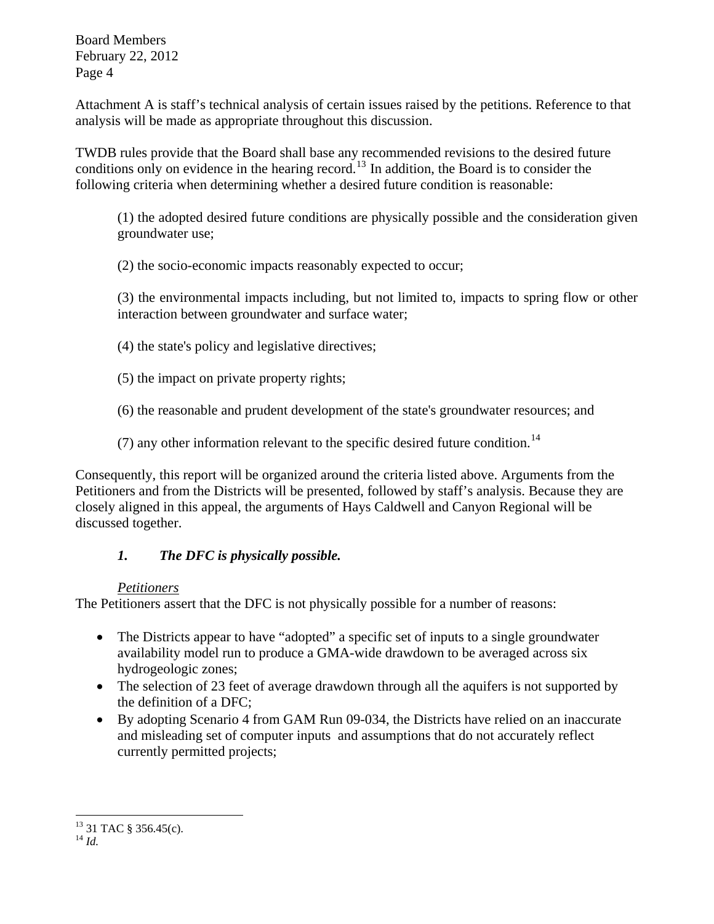Attachment A is staff's technical analysis of certain issues raised by the petitions. Reference to that analysis will be made as appropriate throughout this discussion.

TWDB rules provide that the Board shall base any recommended revisions to the desired future conditions only on evidence in the hearing record.<sup>[13](#page-3-0)</sup> In addition, the Board is to consider the following criteria when determining whether a desired future condition is reasonable:

(1) the adopted desired future conditions are physically possible and the consideration given groundwater use;

(2) the socio-economic impacts reasonably expected to occur;

(3) the environmental impacts including, but not limited to, impacts to spring flow or other interaction between groundwater and surface water;

(4) the state's policy and legislative directives;

(5) the impact on private property rights;

(6) the reasonable and prudent development of the state's groundwater resources; and

(7) any other information relevant to the specific desired future condition.<sup>[14](#page-3-1)</sup>

Consequently, this report will be organized around the criteria listed above. Arguments from the Petitioners and from the Districts will be presented, followed by staff's analysis. Because they are closely aligned in this appeal, the arguments of Hays Caldwell and Canyon Regional will be discussed together.

## *1. The DFC is physically possible.*

## *Petitioners*

The Petitioners assert that the DFC is not physically possible for a number of reasons:

- The Districts appear to have "adopted" a specific set of inputs to a single groundwater availability model run to produce a GMA-wide drawdown to be averaged across six hydrogeologic zones;
- The selection of 23 feet of average drawdown through all the aquifers is not supported by the definition of a DFC;
- By adopting Scenario 4 from GAM Run 09-034, the Districts have relied on an inaccurate and misleading set of computer inputs and assumptions that do not accurately reflect currently permitted projects;

<span id="page-3-1"></span><span id="page-3-0"></span> $13$  31 TAC § 356.45(c).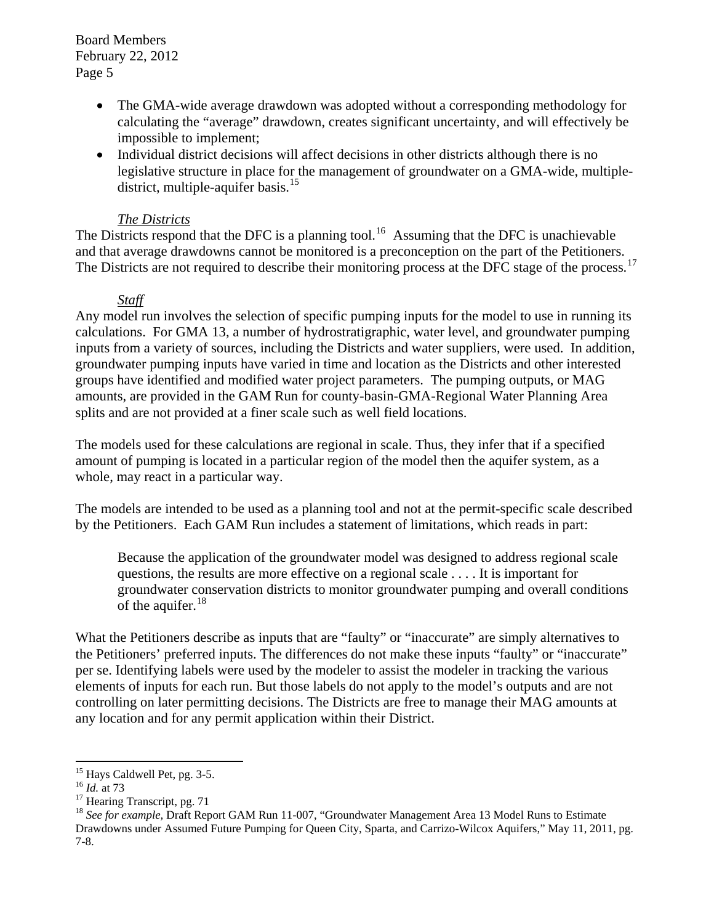- The GMA-wide average drawdown was adopted without a corresponding methodology for calculating the "average" drawdown, creates significant uncertainty, and will effectively be impossible to implement;
- Individual district decisions will affect decisions in other districts although there is no legislative structure in place for the management of groundwater on a GMA-wide, multiple-district, multiple-aquifer basis.<sup>[15](#page-4-0)</sup>

### *The Districts*

The Districts respond that the DFC is a planning tool.<sup>[16](#page-4-1)</sup> Assuming that the DFC is unachievable and that average drawdowns cannot be monitored is a preconception on the part of the Petitioners. The Districts are not required to describe their monitoring process at the DFC stage of the process.<sup>[17](#page-4-2)</sup>

### *Staff*

Any model run involves the selection of specific pumping inputs for the model to use in running its calculations. For GMA 13, a number of hydrostratigraphic, water level, and groundwater pumping inputs from a variety of sources, including the Districts and water suppliers, were used. In addition, groundwater pumping inputs have varied in time and location as the Districts and other interested groups have identified and modified water project parameters. The pumping outputs, or MAG amounts, are provided in the GAM Run for county-basin-GMA-Regional Water Planning Area splits and are not provided at a finer scale such as well field locations.

The models used for these calculations are regional in scale. Thus, they infer that if a specified amount of pumping is located in a particular region of the model then the aquifer system, as a whole, may react in a particular way.

The models are intended to be used as a planning tool and not at the permit-specific scale described by the Petitioners. Each GAM Run includes a statement of limitations, which reads in part:

Because the application of the groundwater model was designed to address regional scale questions, the results are more effective on a regional scale . . . . It is important for groundwater conservation districts to monitor groundwater pumping and overall conditions of the aquifer.<sup>[18](#page-4-3)</sup>

What the Petitioners describe as inputs that are "faulty" or "inaccurate" are simply alternatives to the Petitioners' preferred inputs. The differences do not make these inputs "faulty" or "inaccurate" per se. Identifying labels were used by the modeler to assist the modeler in tracking the various elements of inputs for each run. But those labels do not apply to the model's outputs and are not controlling on later permitting decisions. The Districts are free to manage their MAG amounts at any location and for any permit application within their District.

<span id="page-4-0"></span><sup>&</sup>lt;sup>15</sup> Hays Caldwell Pet, pg. 3-5.

<span id="page-4-1"></span> $\frac{16}{16}$  *Id.* at 73<br><sup>17</sup> Hearing Transcript, pg. 71

<span id="page-4-3"></span><span id="page-4-2"></span><sup>&</sup>lt;sup>18</sup> See for example, Draft Report GAM Run 11-007, "Groundwater Management Area 13 Model Runs to Estimate Drawdowns under Assumed Future Pumping for Queen City, Sparta, and Carrizo-Wilcox Aquifers," May 11, 2011, pg. 7-8.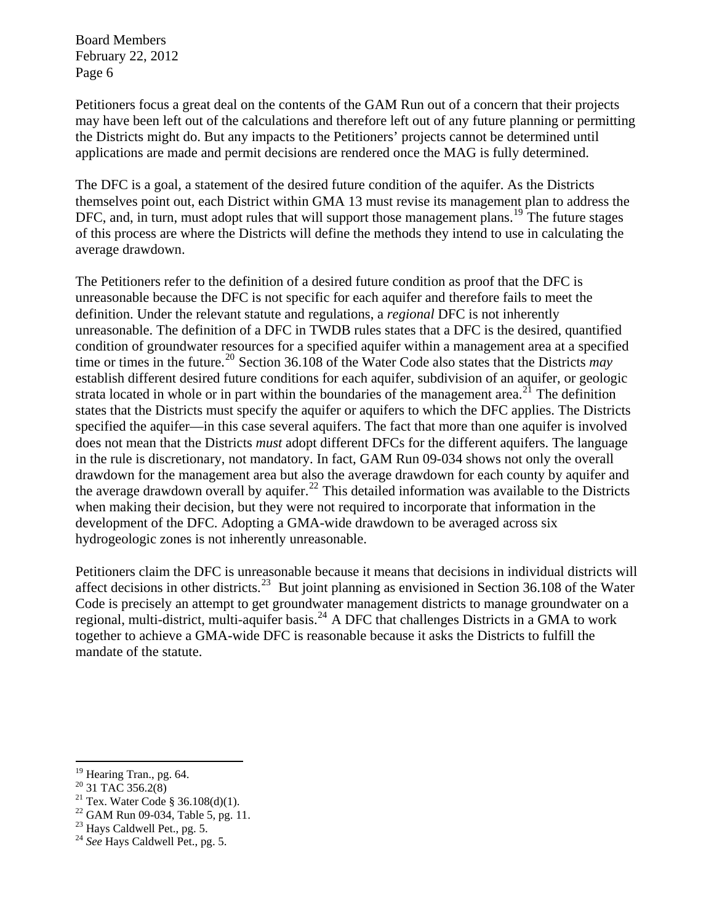Petitioners focus a great deal on the contents of the GAM Run out of a concern that their projects may have been left out of the calculations and therefore left out of any future planning or permitting the Districts might do. But any impacts to the Petitioners' projects cannot be determined until applications are made and permit decisions are rendered once the MAG is fully determined.

The DFC is a goal, a statement of the desired future condition of the aquifer. As the Districts themselves point out, each District within GMA 13 must revise its management plan to address the DFC, and, in turn, must adopt rules that will support those management plans.<sup>[19](#page-5-0)</sup> The future stages of this process are where the Districts will define the methods they intend to use in calculating the average drawdown.

The Petitioners refer to the definition of a desired future condition as proof that the DFC is unreasonable because the DFC is not specific for each aquifer and therefore fails to meet the definition. Under the relevant statute and regulations, a *regional* DFC is not inherently unreasonable. The definition of a DFC in TWDB rules states that a DFC is the desired, quantified condition of groundwater resources for a specified aquifer within a management area at a specified time or times in the future.<sup>[20](#page-5-1)</sup> Section 36.108 of the Water Code also states that the Districts *may* establish different desired future conditions for each aquifer, subdivision of an aquifer, or geologic strata located in whole or in part within the boundaries of the management area.<sup>[21](#page-5-2)</sup> The definition states that the Districts must specify the aquifer or aquifers to which the DFC applies. The Districts specified the aquifer—in this case several aquifers. The fact that more than one aquifer is involved does not mean that the Districts *must* adopt different DFCs for the different aquifers. The language in the rule is discretionary, not mandatory. In fact, GAM Run 09-034 shows not only the overall drawdown for the management area but also the average drawdown for each county by aquifer and the average drawdown overall by aquifer.<sup>[22](#page-5-3)</sup> This detailed information was available to the Districts when making their decision, but they were not required to incorporate that information in the development of the DFC. Adopting a GMA-wide drawdown to be averaged across six hydrogeologic zones is not inherently unreasonable.

Petitioners claim the DFC is unreasonable because it means that decisions in individual districts will affect decisions in other districts.<sup>[23](#page-5-4)</sup> But joint planning as envisioned in Section 36.108 of the Water Code is precisely an attempt to get groundwater management districts to manage groundwater on a regional, multi-district, multi-aquifer basis.<sup>[24](#page-5-5)</sup> A DFC that challenges Districts in a GMA to work together to achieve a GMA-wide DFC is reasonable because it asks the Districts to fulfill the mandate of the statute.

<sup>&</sup>lt;sup>19</sup> Hearing Tran., pg. 64.

<span id="page-5-1"></span><span id="page-5-0"></span> $^{20}$  31 TAC 356.2(8)

<span id="page-5-2"></span><sup>&</sup>lt;sup>21</sup> Tex. Water Code § 36.108(d)(1).

<span id="page-5-3"></span> $22$  GAM Run 09-034, Table 5, pg. 11.

<span id="page-5-4"></span> $23$  Hays Caldwell Pet., pg. 5.

<span id="page-5-5"></span><sup>&</sup>lt;sup>24</sup> See Hays Caldwell Pet., pg. 5.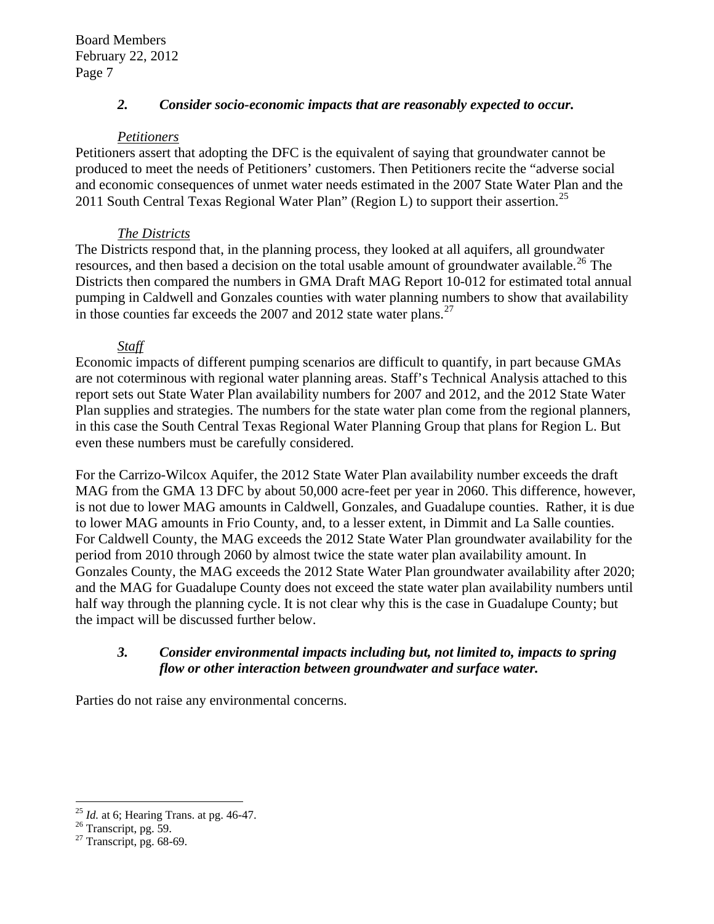## *2. Consider socio-economic impacts that are reasonably expected to occur.*

## *Petitioners*

Petitioners assert that adopting the DFC is the equivalent of saying that groundwater cannot be produced to meet the needs of Petitioners' customers. Then Petitioners recite the "adverse social and economic consequences of unmet water needs estimated in the 2007 State Water Plan and the 2011 South Central Texas Regional Water Plan" (Region L) to support their assertion.<sup>[25](#page-6-0)</sup>

## *The Districts*

The Districts respond that, in the planning process, they looked at all aquifers, all groundwater resources, and then based a decision on the total usable amount of groundwater available.<sup>[26](#page-6-1)</sup> The Districts then compared the numbers in GMA Draft MAG Report 10-012 for estimated total annual pumping in Caldwell and Gonzales counties with water planning numbers to show that availability in those counties far exceeds the 2007 and 2012 state water plans.<sup>[27](#page-6-2)</sup>

## *Staff*

Economic impacts of different pumping scenarios are difficult to quantify, in part because GMAs are not coterminous with regional water planning areas. Staff's Technical Analysis attached to this report sets out State Water Plan availability numbers for 2007 and 2012, and the 2012 State Water Plan supplies and strategies. The numbers for the state water plan come from the regional planners, in this case the South Central Texas Regional Water Planning Group that plans for Region L. But even these numbers must be carefully considered.

For the Carrizo-Wilcox Aquifer, the 2012 State Water Plan availability number exceeds the draft MAG from the GMA 13 DFC by about 50,000 acre-feet per year in 2060. This difference, however, is not due to lower MAG amounts in Caldwell, Gonzales, and Guadalupe counties. Rather, it is due to lower MAG amounts in Frio County, and, to a lesser extent, in Dimmit and La Salle counties. For Caldwell County, the MAG exceeds the 2012 State Water Plan groundwater availability for the period from 2010 through 2060 by almost twice the state water plan availability amount. In Gonzales County, the MAG exceeds the 2012 State Water Plan groundwater availability after 2020; and the MAG for Guadalupe County does not exceed the state water plan availability numbers until half way through the planning cycle. It is not clear why this is the case in Guadalupe County; but the impact will be discussed further below.

## *3. Consider environmental impacts including but, not limited to, impacts to spring flow or other interaction between groundwater and surface water.*

Parties do not raise any environmental concerns.

 $\overline{a}$ <sup>25</sup> *Id.* at 6; Hearing Trans. at pg. 46-47.<br><sup>26</sup> Transcript, pg. 59.

<span id="page-6-2"></span><span id="page-6-1"></span><span id="page-6-0"></span> $\frac{26}{27}$  Transcript, pg. 59.<br> $\frac{27}{27}$  Transcript, pg. 68-69.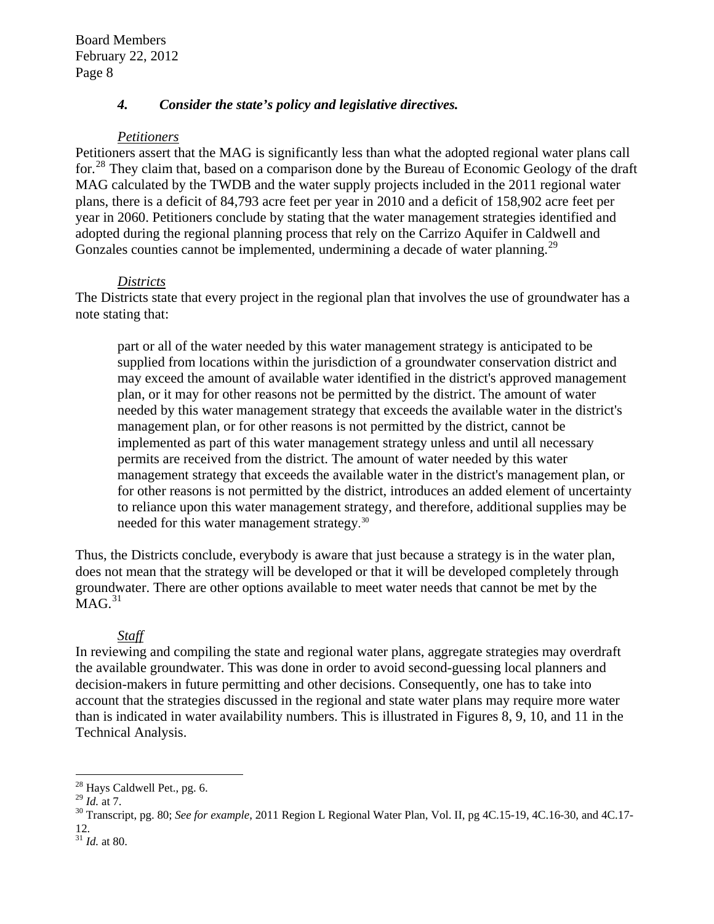## *4. Consider the state's policy and legislative directives.*

### *Petitioners*

Petitioners assert that the MAG is significantly less than what the adopted regional water plans call for.<sup>[28](#page-7-0)</sup> They claim that, based on a comparison done by the Bureau of Economic Geology of the draft MAG calculated by the TWDB and the water supply projects included in the 2011 regional water plans, there is a deficit of 84,793 acre feet per year in 2010 and a deficit of 158,902 acre feet per year in 2060. Petitioners conclude by stating that the water management strategies identified and adopted during the regional planning process that rely on the Carrizo Aquifer in Caldwell and Gonzales counties cannot be implemented, undermining a decade of water planning.<sup>[29](#page-7-1)</sup>

### *Districts*

The Districts state that every project in the regional plan that involves the use of groundwater has a note stating that:

part or all of the water needed by this water management strategy is anticipated to be supplied from locations within the jurisdiction of a groundwater conservation district and may exceed the amount of available water identified in the district's approved management plan, or it may for other reasons not be permitted by the district. The amount of water needed by this water management strategy that exceeds the available water in the district's management plan, or for other reasons is not permitted by the district, cannot be implemented as part of this water management strategy unless and until all necessary permits are received from the district. The amount of water needed by this water management strategy that exceeds the available water in the district's management plan, or for other reasons is not permitted by the district, introduces an added element of uncertainty to reliance upon this water management strategy, and therefore, additional supplies may be needed for this water management strategy.<sup>[30](#page-7-2)</sup>

Thus, the Districts conclude, everybody is aware that just because a strategy is in the water plan, does not mean that the strategy will be developed or that it will be developed completely through groundwater. There are other options available to meet water needs that cannot be met by the  $MAG.<sup>31</sup>$  $MAG.<sup>31</sup>$  $MAG.<sup>31</sup>$ 

## *Staff*

In reviewing and compiling the state and regional water plans, aggregate strategies may overdraft the available groundwater. This was done in order to avoid second-guessing local planners and decision-makers in future permitting and other decisions. Consequently, one has to take into account that the strategies discussed in the regional and state water plans may require more water than is indicated in water availability numbers. This is illustrated in Figures 8, 9, 10, and 11 in the Technical Analysis.

<span id="page-7-0"></span> $^{28}$  Hays Caldwell Pet., pg. 6.

<span id="page-7-1"></span>

<span id="page-7-2"></span><sup>&</sup>lt;sup>30</sup> Transcript, pg. 80; *See for example*, 2011 Region L Regional Water Plan, Vol. II, pg 4C.15-19, 4C.16-30, and 4C.17-12.

<span id="page-7-3"></span><sup>31</sup> *Id.* at 80.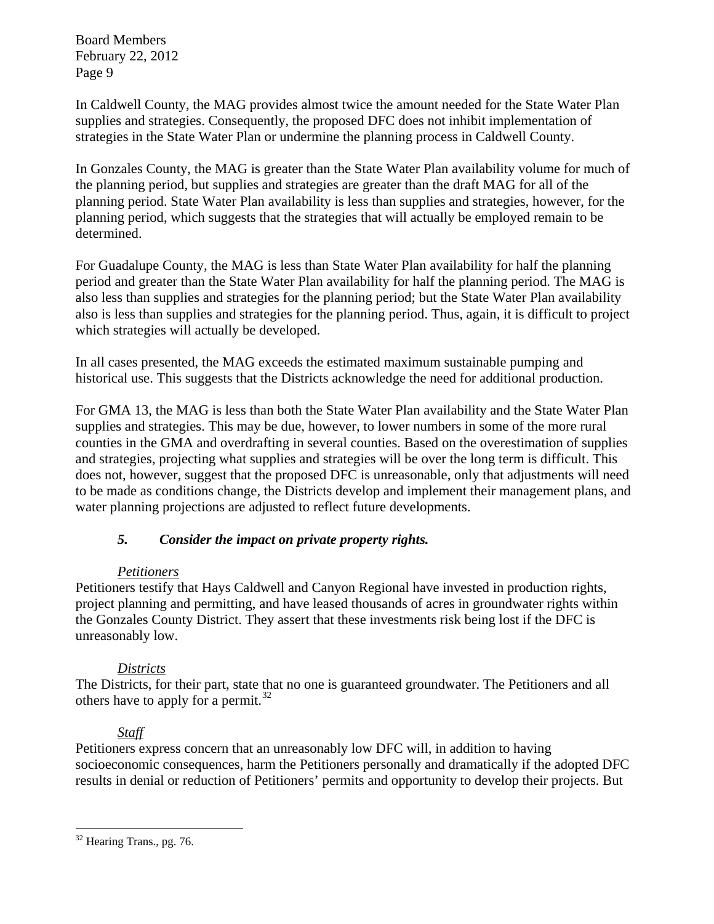In Caldwell County, the MAG provides almost twice the amount needed for the State Water Plan supplies and strategies. Consequently, the proposed DFC does not inhibit implementation of strategies in the State Water Plan or undermine the planning process in Caldwell County.

In Gonzales County, the MAG is greater than the State Water Plan availability volume for much of the planning period, but supplies and strategies are greater than the draft MAG for all of the planning period. State Water Plan availability is less than supplies and strategies, however, for the planning period, which suggests that the strategies that will actually be employed remain to be determined.

For Guadalupe County, the MAG is less than State Water Plan availability for half the planning period and greater than the State Water Plan availability for half the planning period. The MAG is also less than supplies and strategies for the planning period; but the State Water Plan availability also is less than supplies and strategies for the planning period. Thus, again, it is difficult to project which strategies will actually be developed.

In all cases presented, the MAG exceeds the estimated maximum sustainable pumping and historical use. This suggests that the Districts acknowledge the need for additional production.

For GMA 13, the MAG is less than both the State Water Plan availability and the State Water Plan supplies and strategies. This may be due, however, to lower numbers in some of the more rural counties in the GMA and overdrafting in several counties. Based on the overestimation of supplies and strategies, projecting what supplies and strategies will be over the long term is difficult. This does not, however, suggest that the proposed DFC is unreasonable, only that adjustments will need to be made as conditions change, the Districts develop and implement their management plans, and water planning projections are adjusted to reflect future developments.

## *5. Consider the impact on private property rights.*

## *Petitioners*

Petitioners testify that Hays Caldwell and Canyon Regional have invested in production rights, project planning and permitting, and have leased thousands of acres in groundwater rights within the Gonzales County District. They assert that these investments risk being lost if the DFC is unreasonably low.

## *Districts*

The Districts, for their part, state that no one is guaranteed groundwater. The Petitioners and all others have to apply for a permit.<sup>[32](#page-8-0)</sup>

## *Staff*

Petitioners express concern that an unreasonably low DFC will, in addition to having socioeconomic consequences, harm the Petitioners personally and dramatically if the adopted DFC results in denial or reduction of Petitioners' permits and opportunity to develop their projects. But

<span id="page-8-0"></span> $32$  Hearing Trans., pg. 76.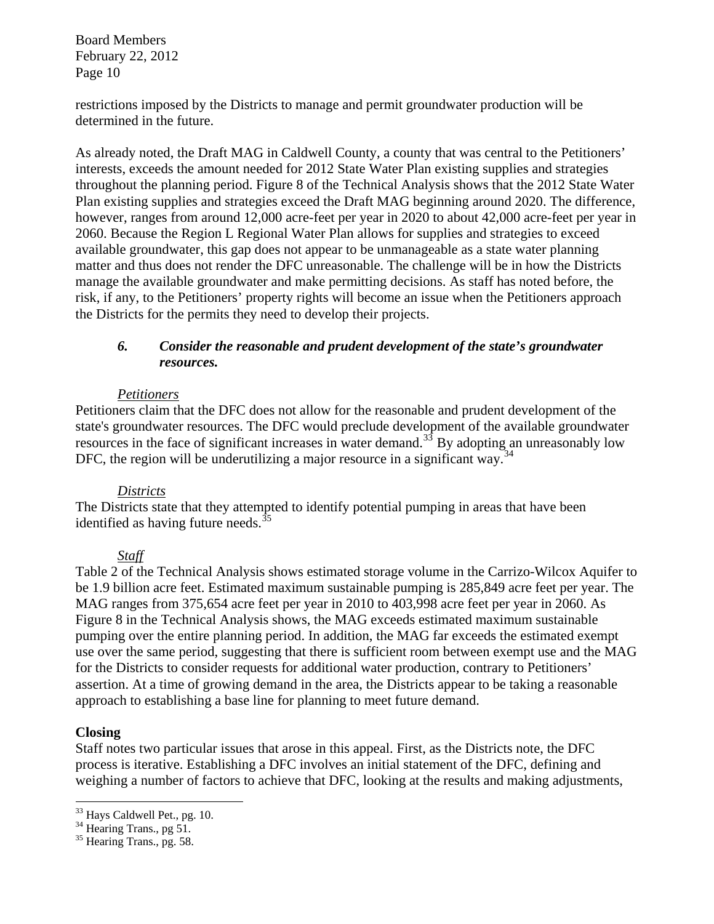restrictions imposed by the Districts to manage and permit groundwater production will be determined in the future.

As already noted, the Draft MAG in Caldwell County, a county that was central to the Petitioners' interests, exceeds the amount needed for 2012 State Water Plan existing supplies and strategies throughout the planning period. Figure 8 of the Technical Analysis shows that the 2012 State Water Plan existing supplies and strategies exceed the Draft MAG beginning around 2020. The difference, however, ranges from around 12,000 acre-feet per year in 2020 to about 42,000 acre-feet per year in 2060. Because the Region L Regional Water Plan allows for supplies and strategies to exceed available groundwater, this gap does not appear to be unmanageable as a state water planning matter and thus does not render the DFC unreasonable. The challenge will be in how the Districts manage the available groundwater and make permitting decisions. As staff has noted before, the risk, if any, to the Petitioners' property rights will become an issue when the Petitioners approach the Districts for the permits they need to develop their projects.

### *6. Consider the reasonable and prudent development of the state's groundwater resources.*

### *Petitioners*

Petitioners claim that the DFC does not allow for the reasonable and prudent development of the state's groundwater resources. The DFC would preclude development of the available groundwater resources in the face of significant increases in water demand.<sup>[33](#page-9-0)</sup> By adopting an unreasonably low DFC, the region will be underutilizing a major resource in a significant way.<sup>[34](#page-9-1)</sup>

### *Districts*

The Districts state that they attempted to identify potential pumping in areas that have been identified as having future needs.<sup>[35](#page-9-2)</sup>

### *Staff*

Table 2 of the Technical Analysis shows estimated storage volume in the Carrizo-Wilcox Aquifer to be 1.9 billion acre feet. Estimated maximum sustainable pumping is 285,849 acre feet per year. The MAG ranges from 375,654 acre feet per year in 2010 to 403,998 acre feet per year in 2060. As Figure 8 in the Technical Analysis shows, the MAG exceeds estimated maximum sustainable pumping over the entire planning period. In addition, the MAG far exceeds the estimated exempt use over the same period, suggesting that there is sufficient room between exempt use and the MAG for the Districts to consider requests for additional water production, contrary to Petitioners' assertion. At a time of growing demand in the area, the Districts appear to be taking a reasonable approach to establishing a base line for planning to meet future demand.

### **Closing**

 $\overline{a}$ 

Staff notes two particular issues that arose in this appeal. First, as the Districts note, the DFC process is iterative. Establishing a DFC involves an initial statement of the DFC, defining and weighing a number of factors to achieve that DFC, looking at the results and making adjustments,

<span id="page-9-0"></span><sup>&</sup>lt;sup>33</sup> Hays Caldwell Pet., pg. 10.

<span id="page-9-1"></span><sup>&</sup>lt;sup>34</sup> Hearing Trans., pg 51.

<span id="page-9-2"></span><sup>&</sup>lt;sup>35</sup> Hearing Trans., pg. 58.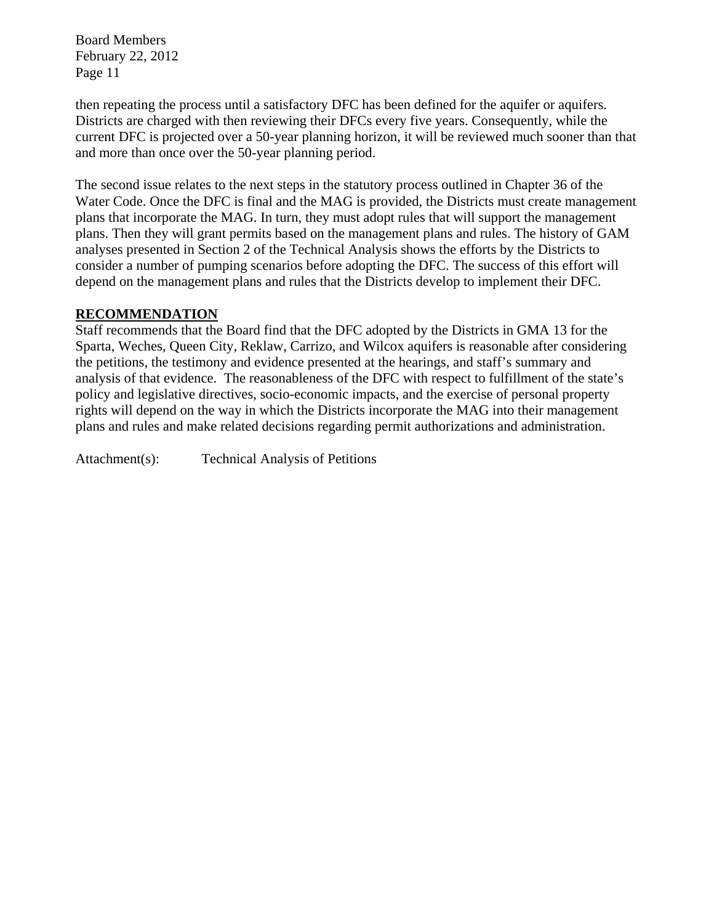then repeating the process until a satisfactory DFC has been defined for the aquifer or aquifers. Districts are charged with then reviewing their DFCs every five years. Consequently, while the current DFC is projected over a 50-year planning horizon, it will be reviewed much sooner than that and more than once over the 50-year planning period.

The second issue relates to the next steps in the statutory process outlined in Chapter 36 of the Water Code. Once the DFC is final and the MAG is provided, the Districts must create management plans that incorporate the MAG. In turn, they must adopt rules that will support the management plans. Then they will grant permits based on the management plans and rules. The history of GAM analyses presented in Section 2 of the Technical Analysis shows the efforts by the Districts to consider a number of pumping scenarios before adopting the DFC. The success of this effort will depend on the management plans and rules that the Districts develop to implement their DFC.

## **RECOMMENDATION**

Staff recommends that the Board find that the DFC adopted by the Districts in GMA 13 for the Sparta, Weches, Queen City, Reklaw, Carrizo, and Wilcox aquifers is reasonable after considering the petitions, the testimony and evidence presented at the hearings, and staff's summary and analysis of that evidence. The reasonableness of the DFC with respect to fulfillment of the state's policy and legislative directives, socio-economic impacts, and the exercise of personal property rights will depend on the way in which the Districts incorporate the MAG into their management plans and rules and make related decisions regarding permit authorizations and administration.

Attachment(s): Technical Analysis of Petitions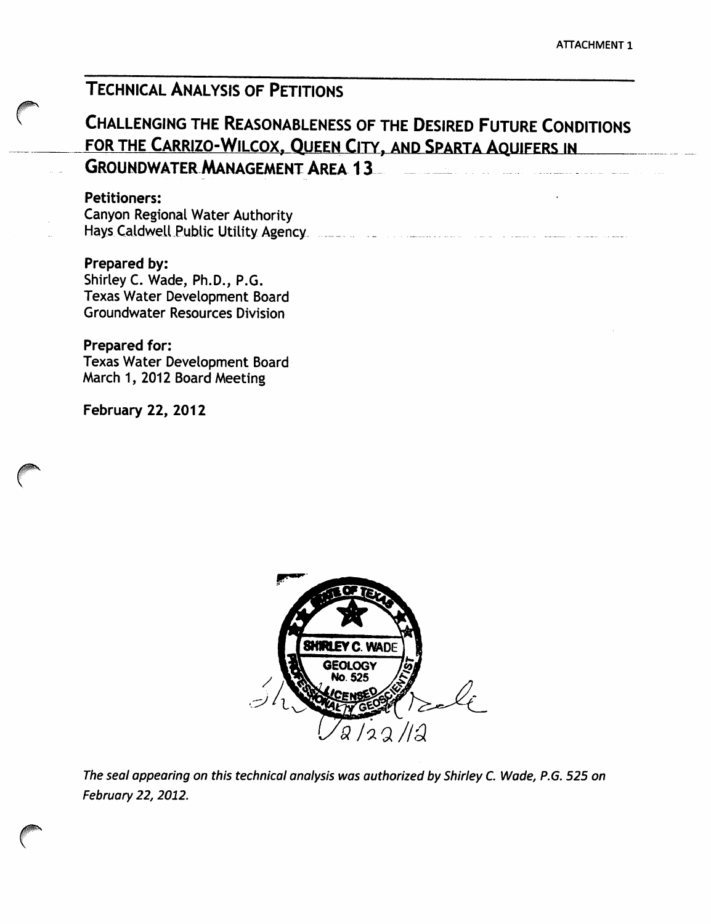# **TECHNICAL ANALYSIS OF PETITIONS**

# **CHALLENGING THE REASONABLENESS OF THE DESIRED FUTURE CONDITIONS** FOR THE CARRIZO-WILCOX, QUEEN CITY, AND SPARTA AQUIFERS IN **GROUNDWATER MANAGEMENT AREA 13**

### **Petitioners:**

Canyon Regional Water Authority 

Prepared by: Shirley C. Wade, Ph.D., P.G. Texas Water Development Board **Groundwater Resources Division** 

## **Prepared for:**

**Texas Water Development Board** March 1, 2012 Board Meeting

**February 22, 2012** 



The seal appearing on this technical analysis was authorized by Shirley C. Wade, P.G. 525 on February 22, 2012.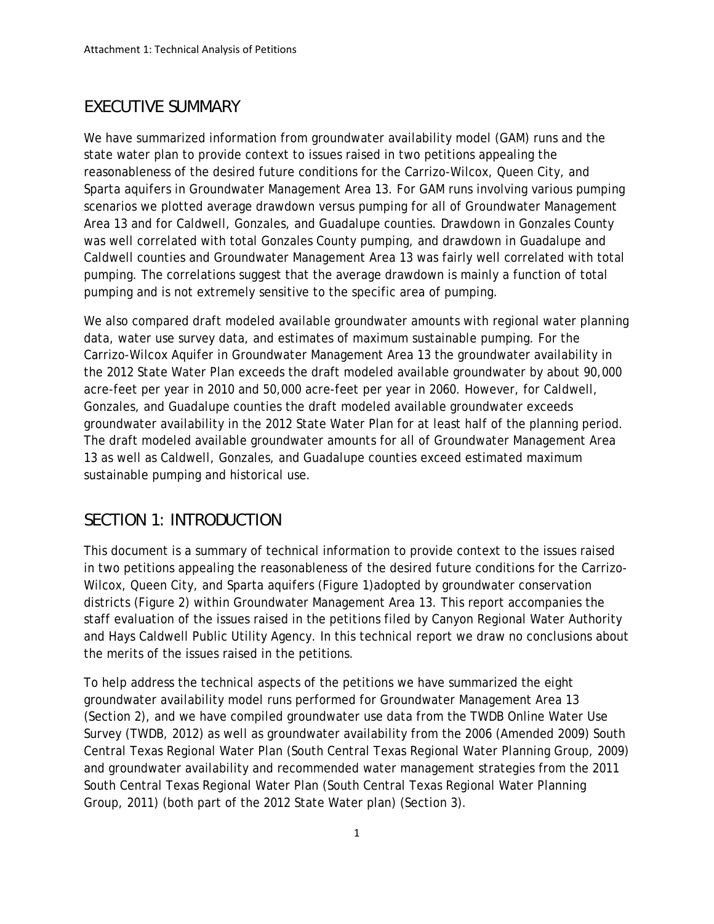# *EXECUTIVE SUMMARY*

We have summarized information from groundwater availability model (GAM) runs and the state water plan to provide context to issues raised in two petitions appealing the reasonableness of the desired future conditions for the Carrizo-Wilcox, Queen City, and Sparta aquifers in Groundwater Management Area 13. For GAM runs involving various pumping scenarios we plotted average drawdown versus pumping for all of Groundwater Management Area 13 and for Caldwell, Gonzales, and Guadalupe counties. Drawdown in Gonzales County was well correlated with total Gonzales County pumping, and drawdown in Guadalupe and Caldwell counties and Groundwater Management Area 13 was fairly well correlated with total pumping. The correlations suggest that the average drawdown is mainly a function of total pumping and is not extremely sensitive to the specific area of pumping.

We also compared draft modeled available groundwater amounts with regional water planning data, water use survey data, and estimates of maximum sustainable pumping. For the Carrizo-Wilcox Aquifer in Groundwater Management Area 13 the groundwater availability in the 2012 State Water Plan exceeds the draft modeled available groundwater by about 90,000 acre-feet per year in 2010 and 50,000 acre-feet per year in 2060. However, for Caldwell, Gonzales, and Guadalupe counties the draft modeled available groundwater exceeds groundwater availability in the 2012 State Water Plan for at least half of the planning period. The draft modeled available groundwater amounts for all of Groundwater Management Area 13 as well as Caldwell, Gonzales, and Guadalupe counties exceed estimated maximum sustainable pumping and historical use.

# *SECTION 1: INTRODUCTION*

This document is a summary of technical information to provide context to the issues raised in two petitions appealing the reasonableness of the desired future conditions for the Carrizo-Wilcox, Queen City, and Sparta aquifers (Figure 1)adopted by groundwater conservation districts (Figure 2) within Groundwater Management Area 13. This report accompanies the staff evaluation of the issues raised in the petitions filed by Canyon Regional Water Authority and Hays Caldwell Public Utility Agency. In this technical report we draw no conclusions about the merits of the issues raised in the petitions.

To help address the technical aspects of the petitions we have summarized the eight groundwater availability model runs performed for Groundwater Management Area 13 (Section 2), and we have compiled groundwater use data from the TWDB Online Water Use Survey (TWDB, 2012) as well as groundwater availability from the 2006 (Amended 2009) South Central Texas Regional Water Plan (South Central Texas Regional Water Planning Group, 2009) and groundwater availability and recommended water management strategies from the 2011 South Central Texas Regional Water Plan (South Central Texas Regional Water Planning Group, 2011) (both part of the 2012 State Water plan) (Section 3).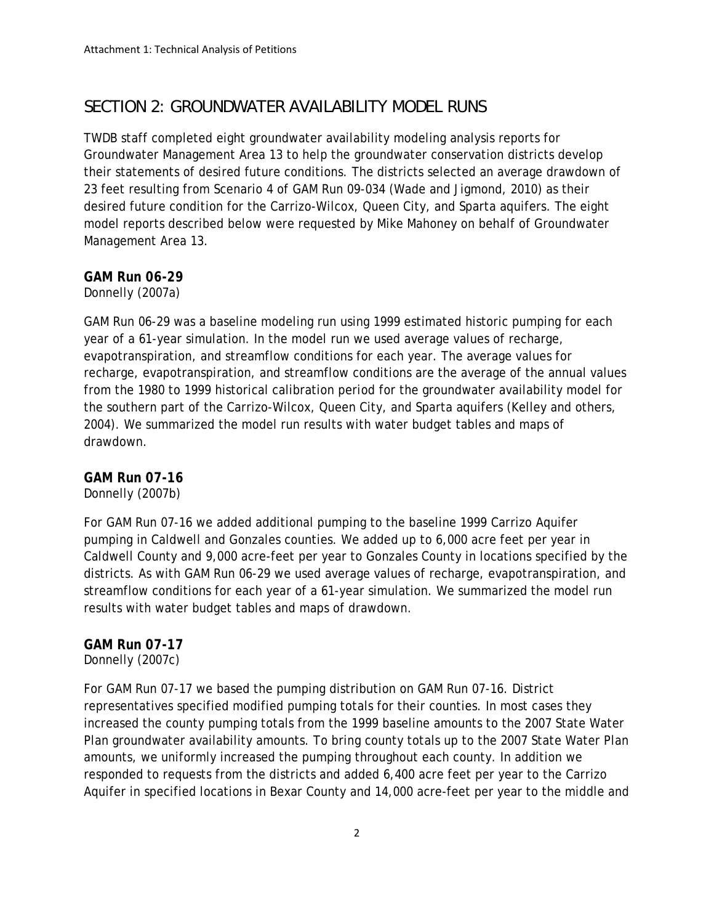# *SECTION 2: GROUNDWATER AVAILABILITY MODEL RUNS*

TWDB staff completed eight groundwater availability modeling analysis reports for Groundwater Management Area 13 to help the groundwater conservation districts develop their statements of desired future conditions. The districts selected an average drawdown of 23 feet resulting from Scenario 4 of GAM Run 09-034 (Wade and Jigmond, 2010) as their desired future condition for the Carrizo-Wilcox, Queen City, and Sparta aquifers. The eight model reports described below were requested by Mike Mahoney on behalf of Groundwater Management Area 13.

## *GAM Run 06-29*

Donnelly (2007a)

GAM Run 06-29 was a baseline modeling run using 1999 estimated historic pumping for each year of a 61-year simulation. In the model run we used average values of recharge, evapotranspiration, and streamflow conditions for each year. The average values for recharge, evapotranspiration, and streamflow conditions are the average of the annual values from the 1980 to 1999 historical calibration period for the groundwater availability model for the southern part of the Carrizo-Wilcox, Queen City, and Sparta aquifers (Kelley and others, 2004). We summarized the model run results with water budget tables and maps of drawdown.

## *GAM Run 07-16*

Donnelly (2007b)

For GAM Run 07-16 we added additional pumping to the baseline 1999 Carrizo Aquifer pumping in Caldwell and Gonzales counties. We added up to 6,000 acre feet per year in Caldwell County and 9,000 acre-feet per year to Gonzales County in locations specified by the districts. As with GAM Run 06-29 we used average values of recharge, evapotranspiration, and streamflow conditions for each year of a 61-year simulation. We summarized the model run results with water budget tables and maps of drawdown.

## *GAM Run 07-17*

Donnelly (2007c)

For GAM Run 07-17 we based the pumping distribution on GAM Run 07-16. District representatives specified modified pumping totals for their counties. In most cases they increased the county pumping totals from the 1999 baseline amounts to the 2007 State Water Plan groundwater availability amounts. To bring county totals up to the 2007 State Water Plan amounts, we uniformly increased the pumping throughout each county. In addition we responded to requests from the districts and added 6,400 acre feet per year to the Carrizo Aquifer in specified locations in Bexar County and 14,000 acre-feet per year to the middle and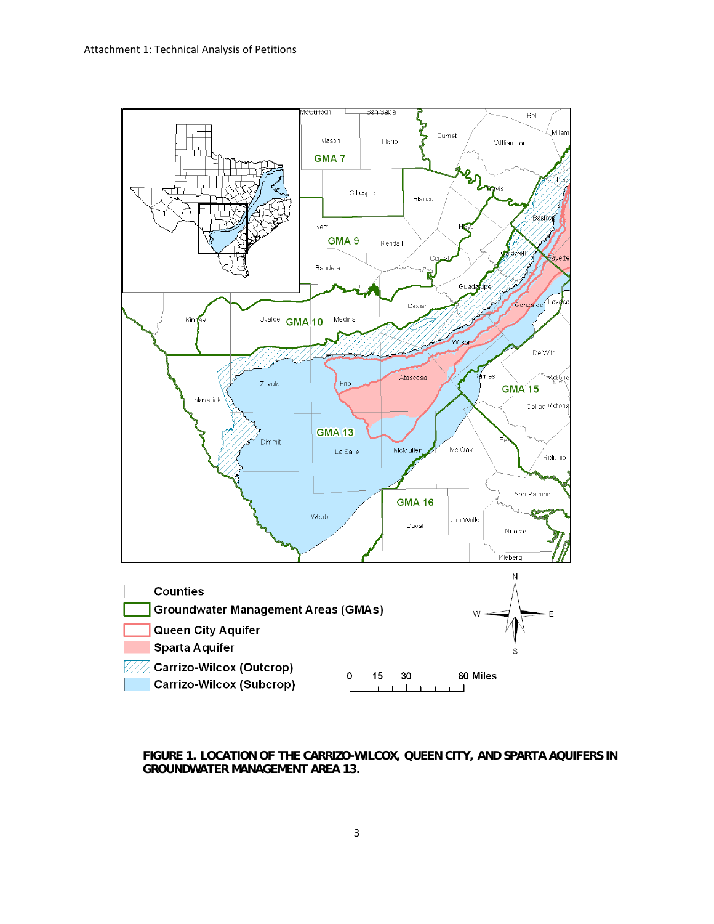

**FIGURE 1. LOCATION OF THE CARRIZO-WILCOX, QUEEN CITY, AND SPARTA AQUIFERS IN GROUNDWATER MANAGEMENT AREA 13.**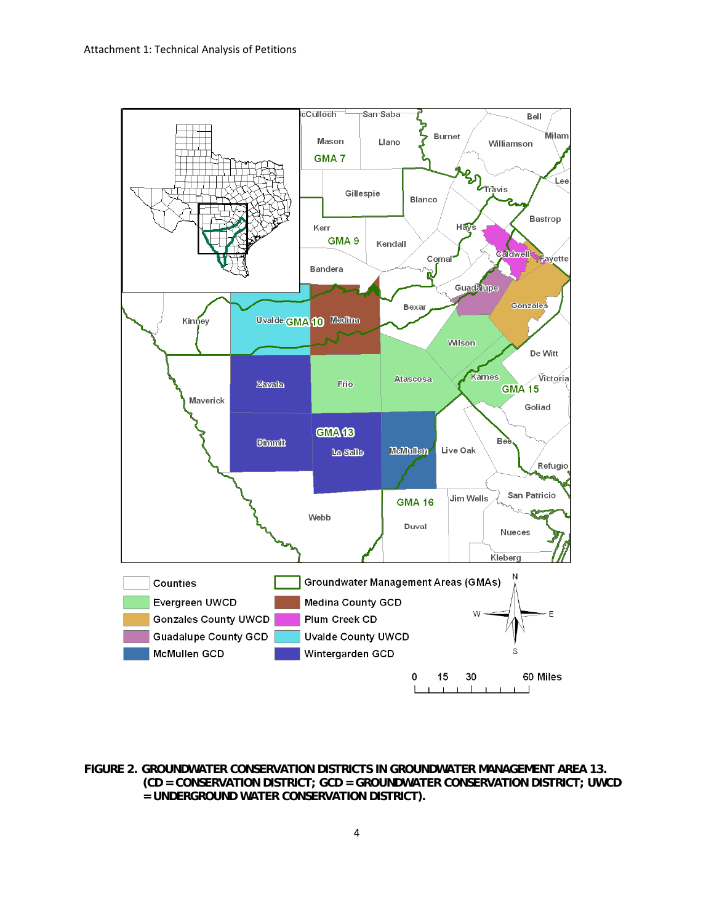

**FIGURE 2. GROUNDWATER CONSERVATION DISTRICTS IN GROUNDWATER MANAGEMENT AREA 13. (CD = CONSERVATION DISTRICT; GCD = GROUNDWATER CONSERVATION DISTRICT; UWCD = UNDERGROUND WATER CONSERVATION DISTRICT).**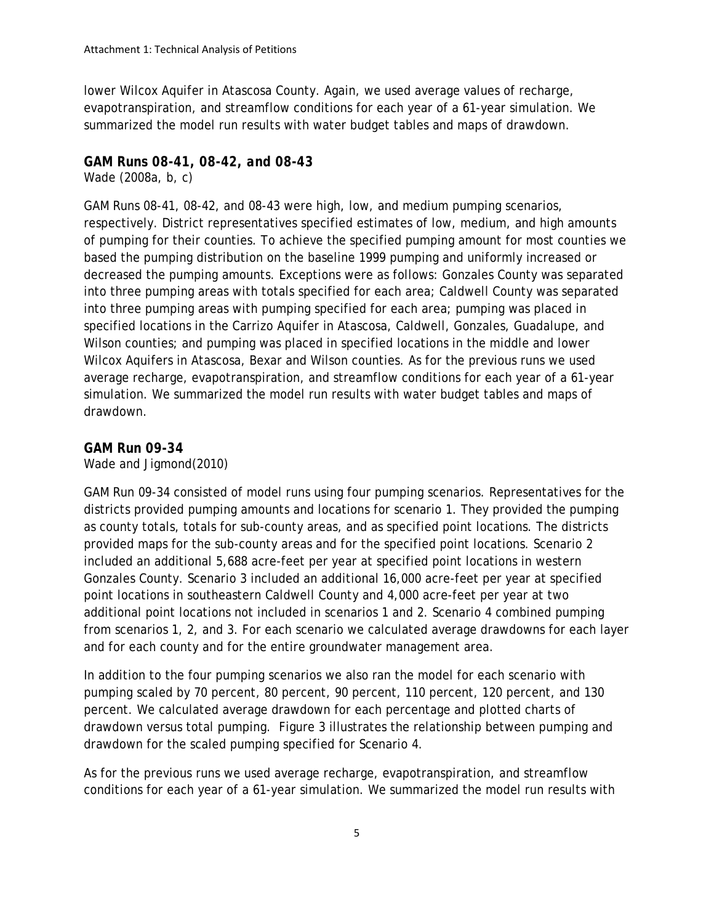lower Wilcox Aquifer in Atascosa County. Again, we used average values of recharge, evapotranspiration, and streamflow conditions for each year of a 61-year simulation. We summarized the model run results with water budget tables and maps of drawdown.

### *GAM Runs 08-41, 08-42, and 08-43*

Wade (2008a, b, c)

GAM Runs 08-41, 08-42, and 08-43 were high, low, and medium pumping scenarios, respectively. District representatives specified estimates of low, medium, and high amounts of pumping for their counties. To achieve the specified pumping amount for most counties we based the pumping distribution on the baseline 1999 pumping and uniformly increased or decreased the pumping amounts. Exceptions were as follows: Gonzales County was separated into three pumping areas with totals specified for each area; Caldwell County was separated into three pumping areas with pumping specified for each area; pumping was placed in specified locations in the Carrizo Aquifer in Atascosa, Caldwell, Gonzales, Guadalupe, and Wilson counties; and pumping was placed in specified locations in the middle and lower Wilcox Aquifers in Atascosa, Bexar and Wilson counties. As for the previous runs we used average recharge, evapotranspiration, and streamflow conditions for each year of a 61-year simulation. We summarized the model run results with water budget tables and maps of drawdown.

### *GAM Run 09-34*

Wade and Jigmond(2010)

GAM Run 09-34 consisted of model runs using four pumping scenarios. Representatives for the districts provided pumping amounts and locations for scenario 1. They provided the pumping as county totals, totals for sub-county areas, and as specified point locations. The districts provided maps for the sub-county areas and for the specified point locations. Scenario 2 included an additional 5,688 acre-feet per year at specified point locations in western Gonzales County. Scenario 3 included an additional 16,000 acre-feet per year at specified point locations in southeastern Caldwell County and 4,000 acre-feet per year at two additional point locations not included in scenarios 1 and 2. Scenario 4 combined pumping from scenarios 1, 2, and 3. For each scenario we calculated average drawdowns for each layer and for each county and for the entire groundwater management area.

In addition to the four pumping scenarios we also ran the model for each scenario with pumping scaled by 70 percent, 80 percent, 90 percent, 110 percent, 120 percent, and 130 percent. We calculated average drawdown for each percentage and plotted charts of drawdown versus total pumping. Figure 3 illustrates the relationship between pumping and drawdown for the scaled pumping specified for Scenario 4.

As for the previous runs we used average recharge, evapotranspiration, and streamflow conditions for each year of a 61-year simulation. We summarized the model run results with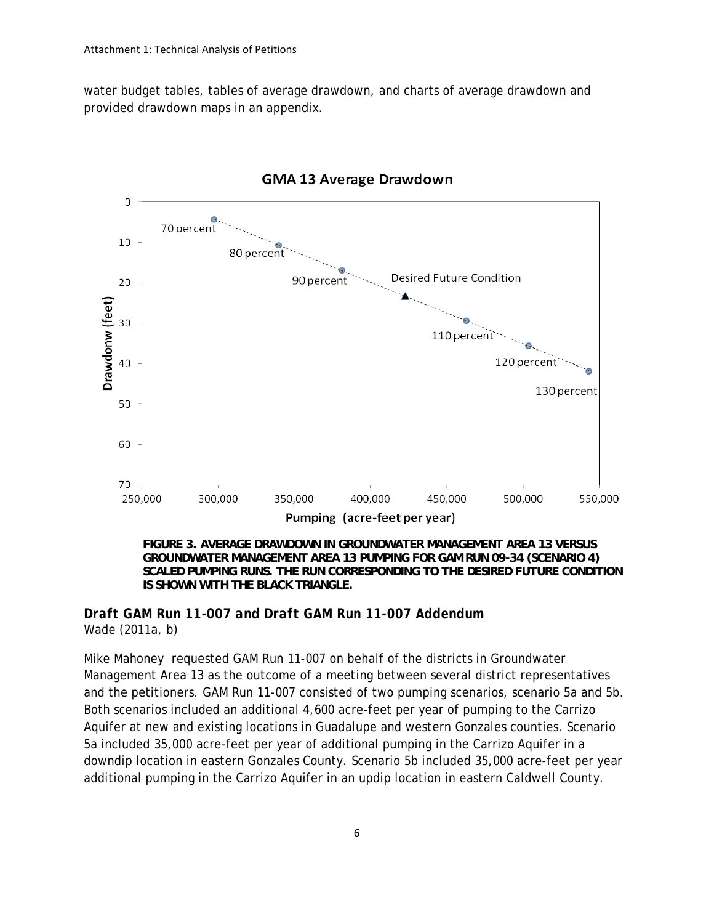water budget tables, tables of average drawdown, and charts of average drawdown and provided drawdown maps in an appendix.



**GMA 13 Average Drawdown** 

**FIGURE 3. AVERAGE DRAWDOWN IN GROUNDWATER MANAGEMENT AREA 13 VERSUS GROUNDWATER MANAGEMENT AREA 13 PUMPING FOR GAM RUN 09-34 (SCENARIO 4) SCALED PUMPING RUNS. THE RUN CORRESPONDING TO THE DESIRED FUTURE CONDITION IS SHOWN WITH THE BLACK TRIANGLE.** 

### *Draft GAM Run 11-007 and Draft GAM Run 11-007 Addendum*  Wade (2011a, b)

Mike Mahoney requested GAM Run 11-007 on behalf of the districts in Groundwater Management Area 13 as the outcome of a meeting between several district representatives and the petitioners. GAM Run 11-007 consisted of two pumping scenarios, scenario 5a and 5b. Both scenarios included an additional 4,600 acre-feet per year of pumping to the Carrizo Aquifer at new and existing locations in Guadalupe and western Gonzales counties. Scenario 5a included 35,000 acre-feet per year of additional pumping in the Carrizo Aquifer in a downdip location in eastern Gonzales County. Scenario 5b included 35,000 acre-feet per year additional pumping in the Carrizo Aquifer in an updip location in eastern Caldwell County.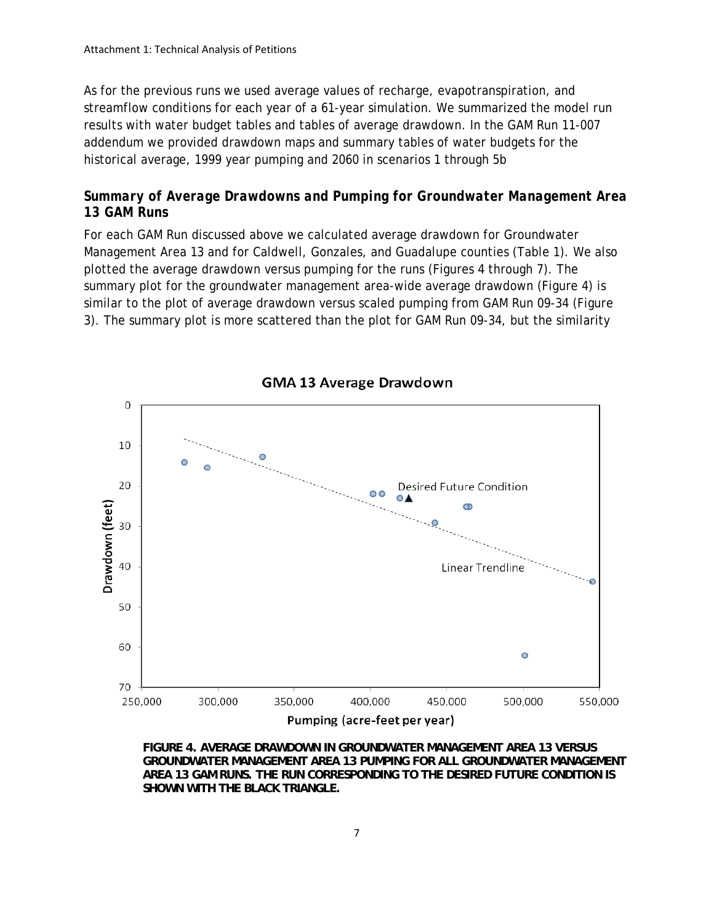As for the previous runs we used average values of recharge, evapotranspiration, and streamflow conditions for each year of a 61-year simulation. We summarized the model run results with water budget tables and tables of average drawdown. In the GAM Run 11-007 addendum we provided drawdown maps and summary tables of water budgets for the historical average, 1999 year pumping and 2060 in scenarios 1 through 5b

## *Summary of Average Drawdowns and Pumping for Groundwater Management Area 13 GAM Runs*

For each GAM Run discussed above we calculated average drawdown for Groundwater Management Area 13 and for Caldwell, Gonzales, and Guadalupe counties (Table 1). We also plotted the average drawdown versus pumping for the runs (Figures 4 through 7). The summary plot for the groundwater management area-wide average drawdown (Figure 4) is similar to the plot of average drawdown versus scaled pumping from GAM Run 09-34 (Figure 3). The summary plot is more scattered than the plot for GAM Run 09-34, but the similarity



**FIGURE 4. AVERAGE DRAWDOWN IN GROUNDWATER MANAGEMENT AREA 13 VERSUS GROUNDWATER MANAGEMENT AREA 13 PUMPING FOR ALL GROUNDWATER MANAGEMENT AREA 13 GAM RUNS. THE RUN CORRESPONDING TO THE DESIRED FUTURE CONDITION IS SHOWN WITH THE BLACK TRIANGLE.** 

**GMA 13 Average Drawdown**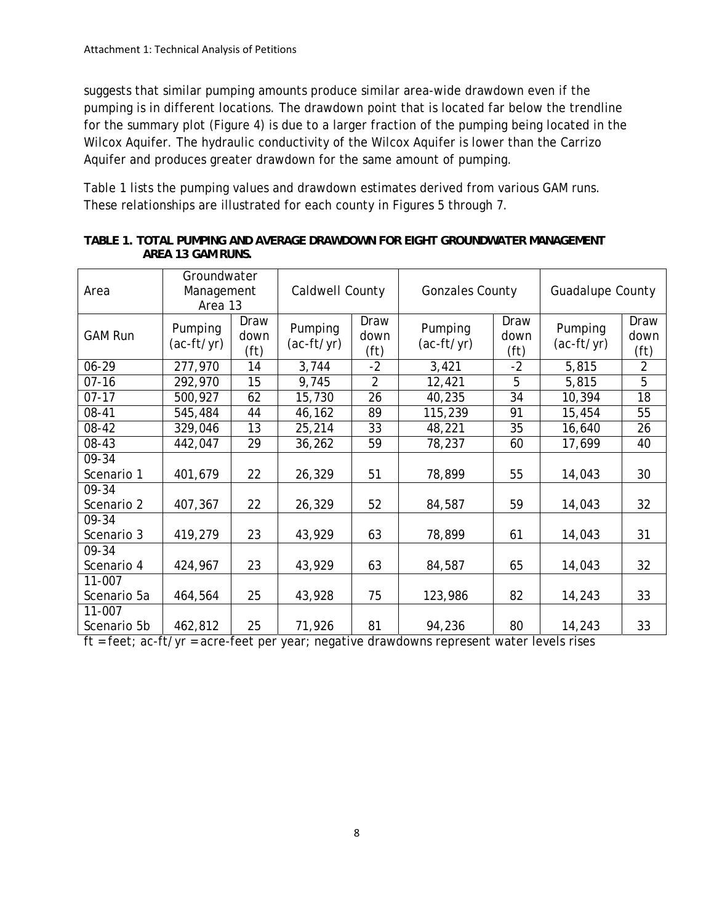suggests that similar pumping amounts produce similar area-wide drawdown even if the pumping is in different locations. The drawdown point that is located far below the trendline for the summary plot (Figure 4) is due to a larger fraction of the pumping being located in the Wilcox Aquifer. The hydraulic conductivity of the Wilcox Aquifer is lower than the Carrizo Aquifer and produces greater drawdown for the same amount of pumping.

Table 1 lists the pumping values and drawdown estimates derived from various GAM runs. These relationships are illustrated for each county in Figures 5 through 7.

| Area                  | Groundwater<br>Management<br>Area 13 |                                   | Caldwell County         |                      | <b>Gonzales County</b> |                                   | <b>Guadalupe County</b> |                                   |
|-----------------------|--------------------------------------|-----------------------------------|-------------------------|----------------------|------------------------|-----------------------------------|-------------------------|-----------------------------------|
| <b>GAM Run</b>        | Pumping<br>$(ac-ft/yr)$              | Draw<br>down<br>(f <sup>t</sup> ) | Pumping<br>$(ac-ft/yr)$ | Draw<br>down<br>(ft) | Pumping<br>(ac-ft/yr)  | Draw<br>down<br>(f <sup>t</sup> ) | Pumping<br>$(ac-ft/yr)$ | Draw<br>down<br>(f <sup>t</sup> ) |
| 06-29                 | 277,970                              | 14                                | 3,744                   | $-2$                 | 3,421                  | $-2$                              | 5,815                   | $\overline{2}$                    |
| $07 - 16$             | 292,970                              | 15                                | 9,745                   | $\overline{2}$       | 12,421                 | 5                                 | 5,815                   | $\overline{5}$                    |
| $07 - 17$             | 500,927                              | 62                                | 15,730                  | 26                   | 40,235                 | 34                                | 10,394                  | 18                                |
| 08-41                 | 545,484                              | 44                                | 46,162                  | 89                   | 115,239                | 91                                | 15,454                  | 55                                |
| 08-42                 | 329,046                              | 13                                | 25,214                  | 33                   | 48,221                 | 35                                | 16,640                  | 26                                |
| 08-43                 | 442,047                              | 29                                | 36,262                  | 59                   | 78,237                 | 60                                | 17,699                  | 40                                |
| 09-34<br>Scenario 1   | 401,679                              | 22                                | 26,329                  | 51                   | 78,899                 | 55                                | 14,043                  | 30                                |
| 09-34<br>Scenario 2   | 407,367                              | 22                                | 26,329                  | 52                   | 84,587                 | 59                                | 14,043                  | 32                                |
| 09-34<br>Scenario 3   | 419,279                              | 23                                | 43,929                  | 63                   | 78,899                 | 61                                | 14,043                  | 31                                |
| 09-34<br>Scenario 4   | 424,967                              | 23                                | 43,929                  | 63                   | 84,587                 | 65                                | 14,043                  | 32                                |
| 11-007<br>Scenario 5a | 464,564                              | 25                                | 43,928                  | 75                   | 123,986                | 82                                | 14,243                  | 33                                |
| 11-007<br>Scenario 5b | 462,812                              | 25                                | 71,926                  | 81                   | 94,236                 | 80                                | 14,243                  | 33                                |

**TABLE 1. TOTAL PUMPING AND AVERAGE DRAWDOWN FOR EIGHT GROUNDWATER MANAGEMENT AREA 13 GAM RUNS.** 

ft = feet; ac-ft/yr = acre-feet per year; negative drawdowns represent water levels rises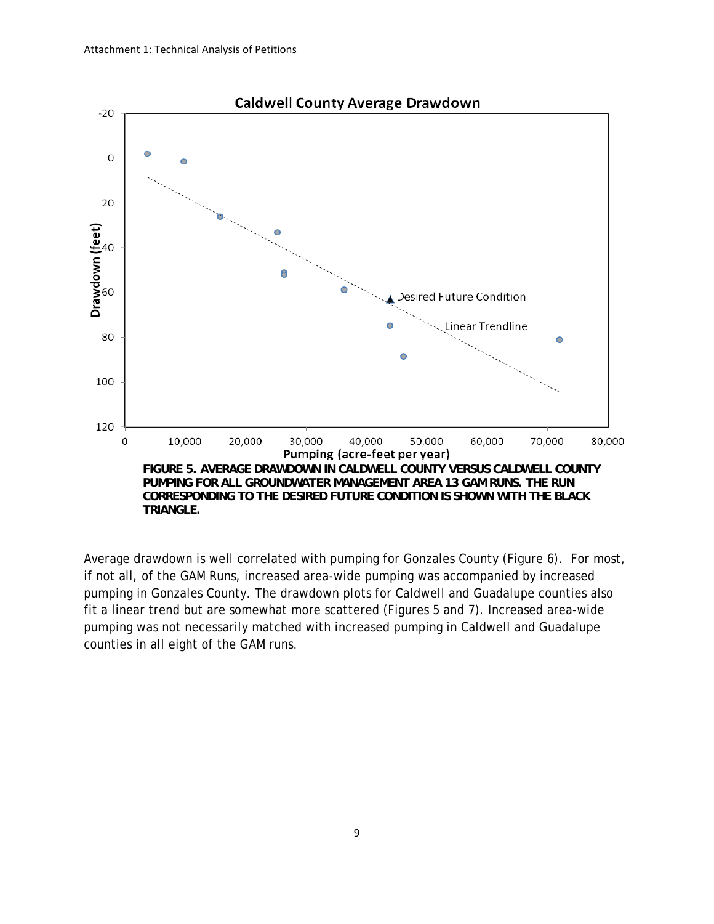

Average drawdown is well correlated with pumping for Gonzales County (Figure 6). For most, if not all, of the GAM Runs, increased area-wide pumping was accompanied by increased pumping in Gonzales County. The drawdown plots for Caldwell and Guadalupe counties also fit a linear trend but are somewhat more scattered (Figures 5 and 7). Increased area-wide pumping was not necessarily matched with increased pumping in Caldwell and Guadalupe counties in all eight of the GAM runs.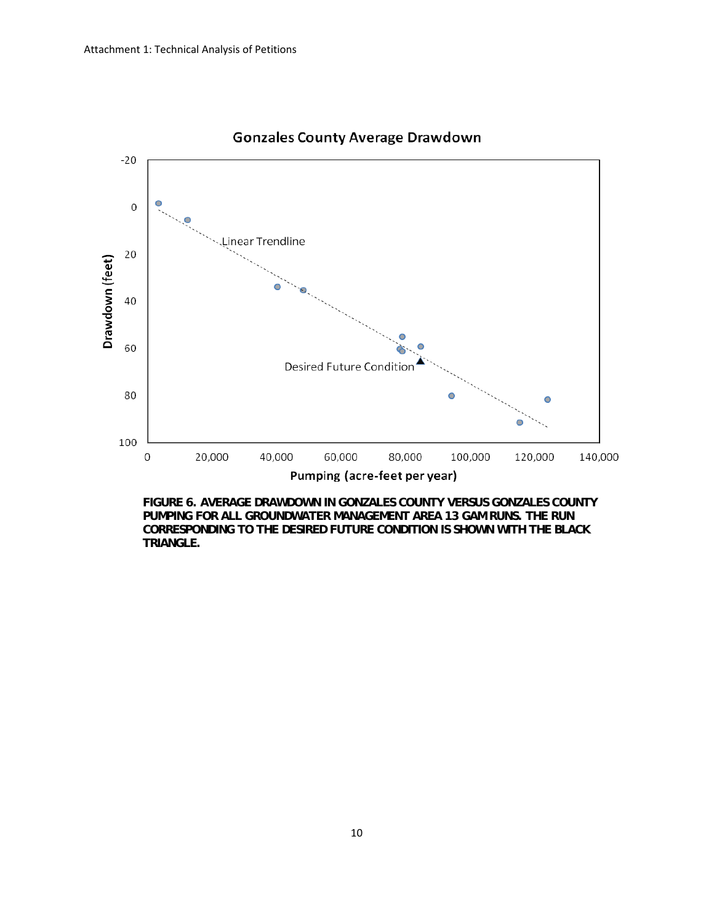

## **Gonzales County Average Drawdown**

**FIGURE 6. AVERAGE DRAWDOWN IN GONZALES COUNTY VERSUS GONZALES COUNTY PUMPING FOR ALL GROUNDWATER MANAGEMENT AREA 13 GAM RUNS. THE RUN CORRESPONDING TO THE DESIRED FUTURE CONDITION IS SHOWN WITH THE BLACK TRIANGLE.**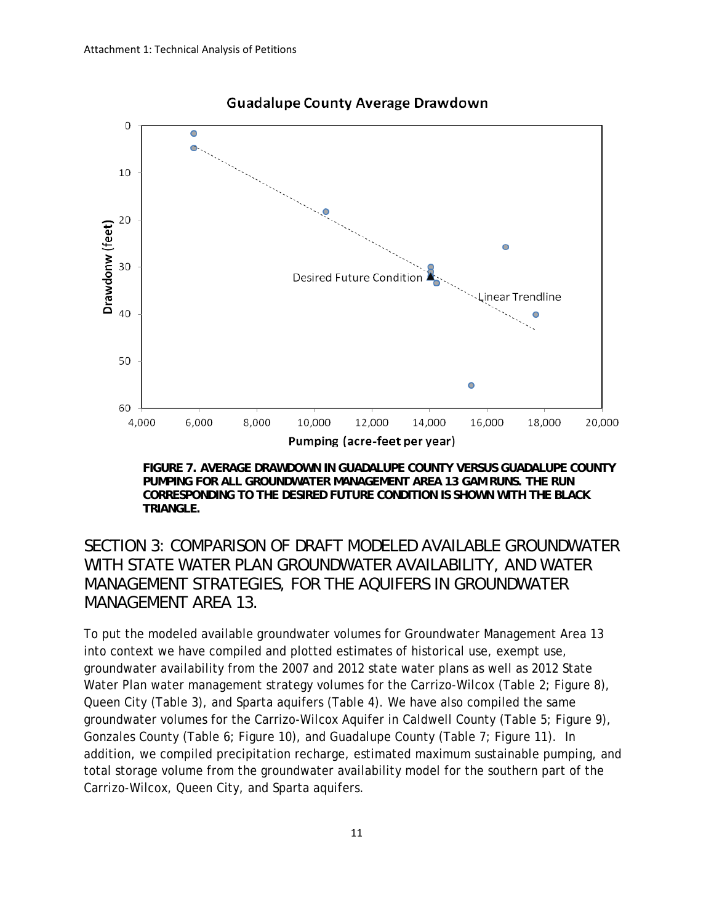

### **Guadalupe County Average Drawdown**

**FIGURE 7. AVERAGE DRAWDOWN IN GUADALUPE COUNTY VERSUS GUADALUPE COUNTY PUMPING FOR ALL GROUNDWATER MANAGEMENT AREA 13 GAM RUNS. THE RUN CORRESPONDING TO THE DESIRED FUTURE CONDITION IS SHOWN WITH THE BLACK TRIANGLE.** 

# *SECTION 3: COMPARISON OF DRAFT MODELED AVAILABLE GROUNDWATER WITH STATE WATER PLAN GROUNDWATER AVAILABILITY, AND WATER MANAGEMENT STRATEGIES, FOR THE AQUIFERS IN GROUNDWATER MANAGEMENT AREA 13.*

To put the modeled available groundwater volumes for Groundwater Management Area 13 into context we have compiled and plotted estimates of historical use, exempt use, groundwater availability from the 2007 and 2012 state water plans as well as 2012 State Water Plan water management strategy volumes for the Carrizo-Wilcox (Table 2; Figure 8), Queen City (Table 3), and Sparta aquifers (Table 4). We have also compiled the same groundwater volumes for the Carrizo-Wilcox Aquifer in Caldwell County (Table 5; Figure 9), Gonzales County (Table 6; Figure 10), and Guadalupe County (Table 7; Figure 11). In addition, we compiled precipitation recharge, estimated maximum sustainable pumping, and total storage volume from the groundwater availability model for the southern part of the Carrizo-Wilcox, Queen City, and Sparta aquifers.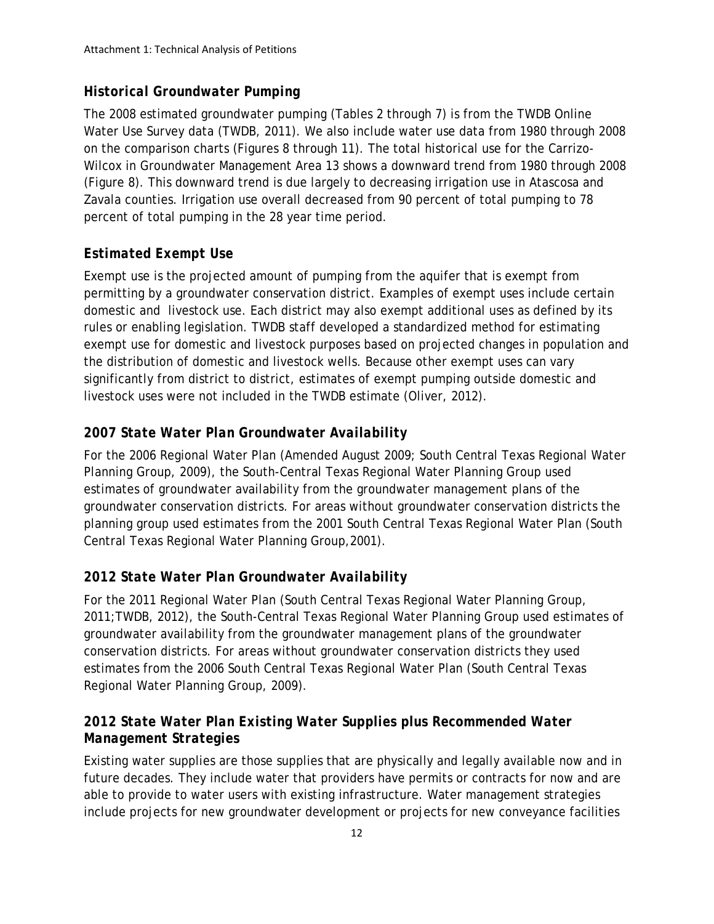## *Historical Groundwater Pumping*

The 2008 estimated groundwater pumping (Tables 2 through 7) is from the TWDB Online Water Use Survey data (TWDB, 2011). We also include water use data from 1980 through 2008 on the comparison charts (Figures 8 through 11). The total historical use for the Carrizo-Wilcox in Groundwater Management Area 13 shows a downward trend from 1980 through 2008 (Figure 8). This downward trend is due largely to decreasing irrigation use in Atascosa and Zavala counties. Irrigation use overall decreased from 90 percent of total pumping to 78 percent of total pumping in the 28 year time period.

# *Estimated Exempt Use*

Exempt use is the projected amount of pumping from the aquifer that is exempt from permitting by a groundwater conservation district. Examples of exempt uses include certain domestic and livestock use. Each district may also exempt additional uses as defined by its rules or enabling legislation. TWDB staff developed a standardized method for estimating exempt use for domestic and livestock purposes based on projected changes in population and the distribution of domestic and livestock wells. Because other exempt uses can vary significantly from district to district, estimates of exempt pumping outside domestic and livestock uses were not included in the TWDB estimate (Oliver, 2012).

# *2007 State Water Plan Groundwater Availability*

For the 2006 Regional Water Plan (Amended August 2009; South Central Texas Regional Water Planning Group, 2009), the South-Central Texas Regional Water Planning Group used estimates of groundwater availability from the groundwater management plans of the groundwater conservation districts. For areas without groundwater conservation districts the planning group used estimates from the 2001 South Central Texas Regional Water Plan (South Central Texas Regional Water Planning Group,2001).

# *2012 State Water Plan Groundwater Availability*

For the 2011 Regional Water Plan (South Central Texas Regional Water Planning Group, 2011;TWDB, 2012), the South-Central Texas Regional Water Planning Group used estimates of groundwater availability from the groundwater management plans of the groundwater conservation districts. For areas without groundwater conservation districts they used estimates from the 2006 South Central Texas Regional Water Plan (South Central Texas Regional Water Planning Group, 2009).

## *2012 State Water Plan Existing Water Supplies plus Recommended Water Management Strategies*

Existing water supplies are those supplies that are physically and legally available now and in future decades. They include water that providers have permits or contracts for now and are able to provide to water users with existing infrastructure. Water management strategies include projects for new groundwater development or projects for new conveyance facilities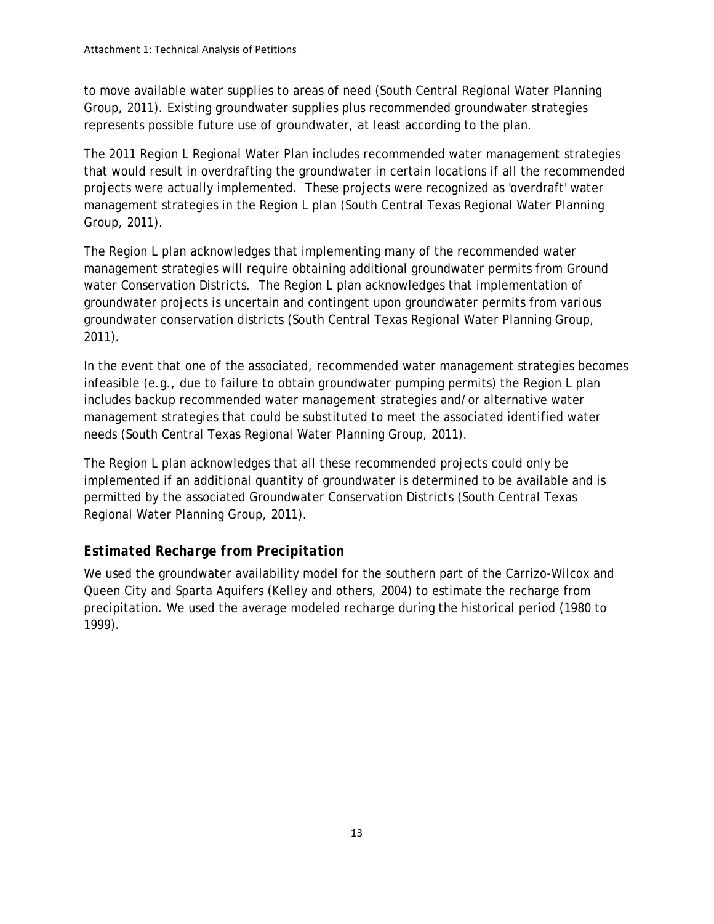to move available water supplies to areas of need (South Central Regional Water Planning Group, 2011). Existing groundwater supplies plus recommended groundwater strategies represents possible future use of groundwater, at least according to the plan.

The 2011 Region L Regional Water Plan includes recommended water management strategies that would result in overdrafting the groundwater in certain locations if all the recommended projects were actually implemented. These projects were recognized as 'overdraft' water management strategies in the Region L plan (South Central Texas Regional Water Planning Group, 2011).

The Region L plan acknowledges that implementing many of the recommended water management strategies will require obtaining additional groundwater permits from Ground water Conservation Districts. The Region L plan acknowledges that implementation of groundwater projects is uncertain and contingent upon groundwater permits from various groundwater conservation districts (South Central Texas Regional Water Planning Group, 2011).

In the event that one of the associated, recommended water management strategies becomes infeasible (e.g., due to failure to obtain groundwater pumping permits) the Region L plan includes backup recommended water management strategies and/or alternative water management strategies that could be substituted to meet the associated identified water needs (South Central Texas Regional Water Planning Group, 2011).

The Region L plan acknowledges that all these recommended projects could only be implemented if an additional quantity of groundwater is determined to be available and is permitted by the associated Groundwater Conservation Districts (South Central Texas Regional Water Planning Group, 2011).

# *Estimated Recharge from Precipitation*

We used the groundwater availability model for the southern part of the Carrizo-Wilcox and Queen City and Sparta Aquifers (Kelley and others, 2004) to estimate the recharge from precipitation. We used the average modeled recharge during the historical period (1980 to 1999).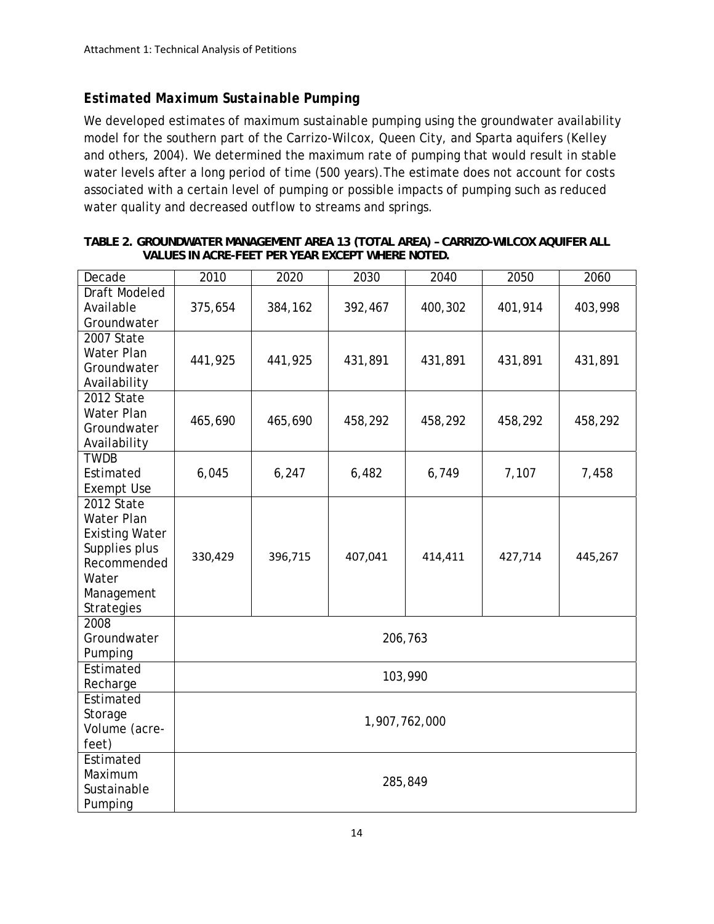## *Estimated Maximum Sustainable Pumping*

We developed estimates of maximum sustainable pumping using the groundwater availability model for the southern part of the Carrizo-Wilcox, Queen City, and Sparta aquifers (Kelley and others, 2004). We determined the maximum rate of pumping that would result in stable water levels after a long period of time (500 years).The estimate does not account for costs associated with a certain level of pumping or possible impacts of pumping such as reduced water quality and decreased outflow to streams and springs.

| Decade                | 2010          | 2020    | 2030    | 2040    | 2050    | 2060    |  |
|-----------------------|---------------|---------|---------|---------|---------|---------|--|
| <b>Draft Modeled</b>  |               |         |         |         |         |         |  |
| Available             | 375,654       | 384,162 | 392,467 | 400,302 | 401,914 | 403,998 |  |
| Groundwater           |               |         |         |         |         |         |  |
| 2007 State            |               |         |         |         |         |         |  |
| Water Plan            | 441,925       | 441,925 | 431,891 | 431,891 | 431,891 | 431,891 |  |
| Groundwater           |               |         |         |         |         |         |  |
| Availability          |               |         |         |         |         |         |  |
| 2012 State            |               |         |         |         |         |         |  |
| Water Plan            | 465,690       | 465,690 | 458,292 | 458,292 | 458,292 | 458,292 |  |
| Groundwater           |               |         |         |         |         |         |  |
| Availability          |               |         |         |         |         |         |  |
| <b>TWDB</b>           |               |         |         |         |         |         |  |
| Estimated             | 6,045         | 6,247   | 6,482   | 6,749   | 7,107   | 7,458   |  |
| <b>Exempt Use</b>     |               |         |         |         |         |         |  |
| 2012 State            |               |         |         |         |         |         |  |
| Water Plan            |               |         |         |         |         |         |  |
| <b>Existing Water</b> |               |         |         |         |         |         |  |
| Supplies plus         | 330,429       | 396,715 | 407,041 | 414,411 | 427,714 | 445,267 |  |
| Recommended           |               |         |         |         |         |         |  |
| Water                 |               |         |         |         |         |         |  |
| Management            |               |         |         |         |         |         |  |
| Strategies            |               |         |         |         |         |         |  |
| 2008                  |               |         |         |         |         |         |  |
| Groundwater           |               |         |         | 206,763 |         |         |  |
| Pumping               |               |         |         |         |         |         |  |
| Estimated             |               |         |         | 103,990 |         |         |  |
| Recharge              |               |         |         |         |         |         |  |
| Estimated             |               |         |         |         |         |         |  |
| Storage               | 1,907,762,000 |         |         |         |         |         |  |
| Volume (acre-         |               |         |         |         |         |         |  |
| feet)                 |               |         |         |         |         |         |  |
| Estimated             |               |         |         |         |         |         |  |
| Maximum               |               |         |         | 285,849 |         |         |  |
| Sustainable           |               |         |         |         |         |         |  |
| Pumping               |               |         |         |         |         |         |  |

#### **TABLE 2. GROUNDWATER MANAGEMENT AREA 13 (TOTAL AREA) – CARRIZO-WILCOX AQUIFER ALL VALUES IN ACRE-FEET PER YEAR EXCEPT WHERE NOTED.**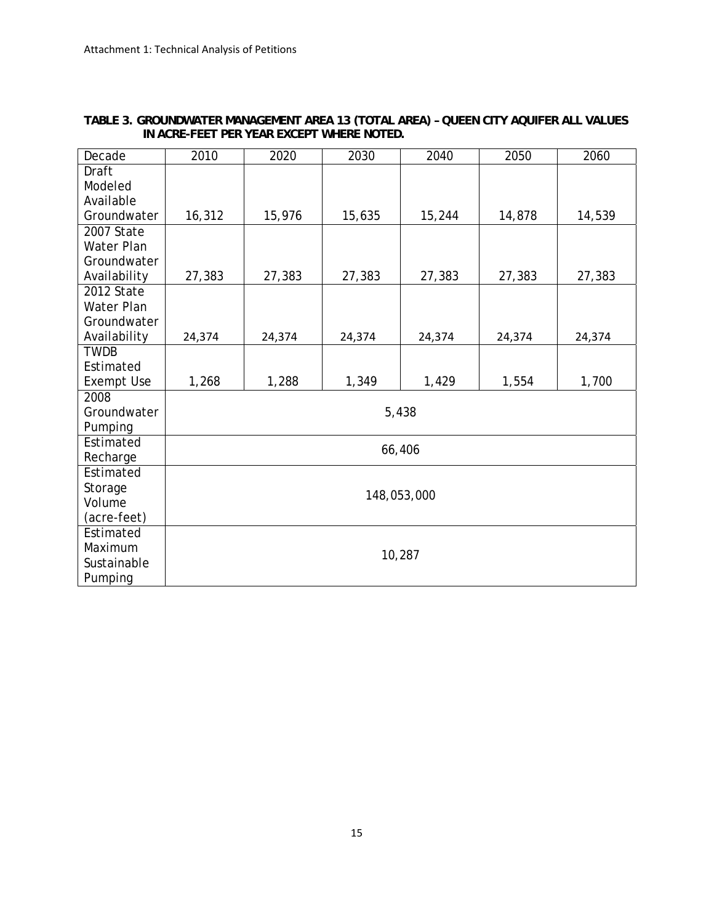| Decade                                       | 2010   | 2020   | 2030   | 2040        | 2050   | 2060   |  |  |
|----------------------------------------------|--------|--------|--------|-------------|--------|--------|--|--|
| Draft<br>Modeled<br>Available<br>Groundwater | 16,312 | 15,976 | 15,635 | 15,244      | 14,878 | 14,539 |  |  |
| 2007 State                                   |        |        |        |             |        |        |  |  |
| Water Plan                                   |        |        |        |             |        |        |  |  |
| Groundwater                                  |        |        |        |             |        |        |  |  |
| Availability                                 | 27,383 | 27,383 | 27,383 | 27,383      | 27,383 | 27,383 |  |  |
| 2012 State                                   |        |        |        |             |        |        |  |  |
| Water Plan                                   |        |        |        |             |        |        |  |  |
| Groundwater                                  |        |        |        |             |        |        |  |  |
| Availability                                 | 24,374 | 24,374 | 24,374 | 24,374      | 24,374 | 24,374 |  |  |
| <b>TWDB</b>                                  |        |        |        |             |        |        |  |  |
| Estimated                                    |        |        |        |             |        |        |  |  |
| <b>Exempt Use</b>                            | 1,268  | 1,288  | 1,349  | 1,429       | 1,554  | 1,700  |  |  |
| 2008                                         |        |        |        |             |        |        |  |  |
| Groundwater<br>Pumping                       |        |        |        | 5,438       |        |        |  |  |
| Estimated                                    |        |        |        |             |        |        |  |  |
| Recharge                                     |        |        | 66,406 |             |        |        |  |  |
| Estimated                                    |        |        |        |             |        |        |  |  |
| Storage                                      |        |        |        |             |        |        |  |  |
| Volume                                       |        |        |        | 148,053,000 |        |        |  |  |
| (acre-feet)                                  |        |        |        |             |        |        |  |  |
| Estimated                                    |        |        |        |             |        |        |  |  |
| Maximum                                      |        |        |        | 10,287      |        |        |  |  |
| Sustainable                                  |        |        |        |             |        |        |  |  |
| Pumping                                      |        |        |        |             |        |        |  |  |

### **TABLE 3. GROUNDWATER MANAGEMENT AREA 13 (TOTAL AREA) – QUEEN CITY AQUIFER ALL VALUES IN ACRE-FEET PER YEAR EXCEPT WHERE NOTED.**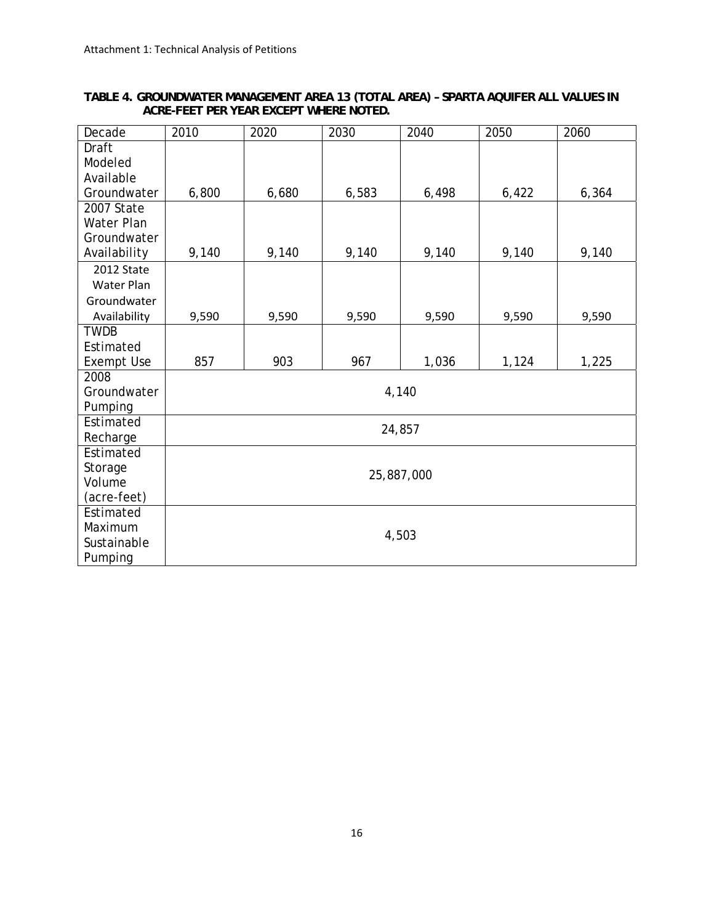| TABLE 4. GROUNDWATER MANAGEMENT AREA 13 (TOTAL AREA) - SPARTA AQUIFER ALL VALUES IN |  |  |  |  |
|-------------------------------------------------------------------------------------|--|--|--|--|
| ACRE-FEET PER YEAR EXCEPT WHERE NOTED.                                              |  |  |  |  |

| Decade            | 2010  | 2020  | 2030  | 2040       | 2050  | 2060  |  |  |
|-------------------|-------|-------|-------|------------|-------|-------|--|--|
| Draft             |       |       |       |            |       |       |  |  |
| Modeled           |       |       |       |            |       |       |  |  |
| Available         |       |       |       |            |       |       |  |  |
| Groundwater       | 6,800 | 6,680 | 6,583 | 6,498      | 6,422 | 6,364 |  |  |
| 2007 State        |       |       |       |            |       |       |  |  |
| Water Plan        |       |       |       |            |       |       |  |  |
| Groundwater       |       |       |       |            |       |       |  |  |
| Availability      | 9,140 | 9,140 | 9,140 | 9,140      | 9,140 | 9,140 |  |  |
| 2012 State        |       |       |       |            |       |       |  |  |
| <b>Water Plan</b> |       |       |       |            |       |       |  |  |
| Groundwater       |       |       |       |            |       |       |  |  |
| Availability      | 9,590 | 9,590 | 9,590 | 9,590      | 9,590 | 9,590 |  |  |
| <b>TWDB</b>       |       |       |       |            |       |       |  |  |
| Estimated         |       |       |       |            |       |       |  |  |
| <b>Exempt Use</b> | 857   | 903   | 967   | 1,036      | 1,124 | 1,225 |  |  |
| 2008              |       |       |       |            |       |       |  |  |
| Groundwater       |       |       |       | 4,140      |       |       |  |  |
| Pumping           |       |       |       |            |       |       |  |  |
| Estimated         |       |       |       | 24,857     |       |       |  |  |
| Recharge          |       |       |       |            |       |       |  |  |
| Estimated         |       |       |       |            |       |       |  |  |
| Storage           |       |       |       | 25,887,000 |       |       |  |  |
| Volume            |       |       |       |            |       |       |  |  |
| (acre-feet)       |       |       |       |            |       |       |  |  |
| Estimated         |       |       |       |            |       |       |  |  |
| Maximum           |       |       |       | 4,503      |       |       |  |  |
| Sustainable       |       |       |       |            |       |       |  |  |
| Pumping           |       |       |       |            |       |       |  |  |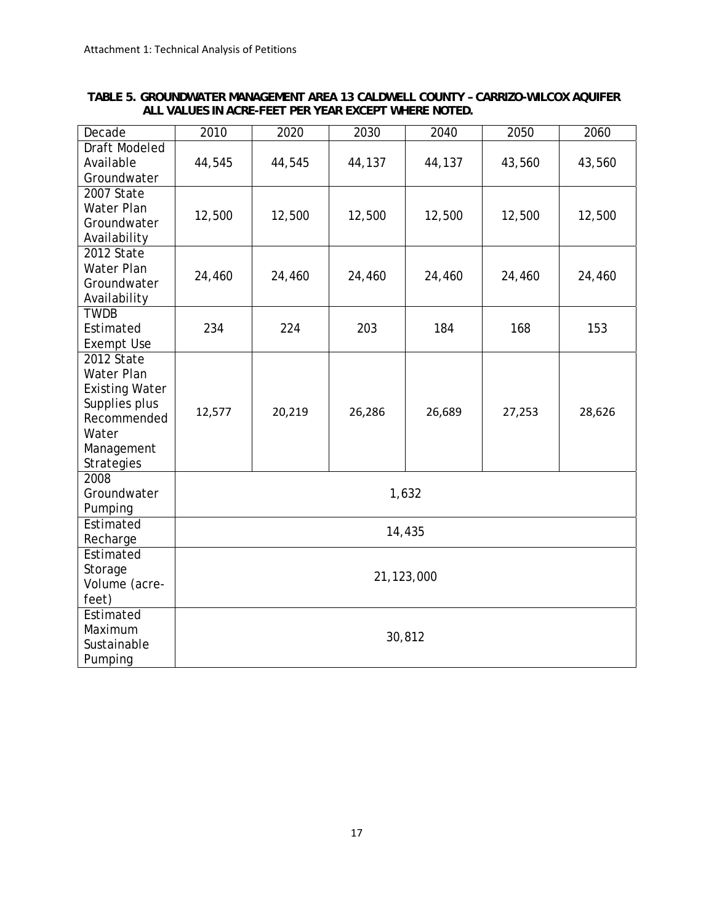|                                                      |  | TABLE 5. GROUNDWATER MANAGEMENT AREA 13 CALDWELL COUNTY - CARRIZO-WILCOX AQUIFER |  |
|------------------------------------------------------|--|----------------------------------------------------------------------------------|--|
| ALL VALUES IN ACRE-FEET PER YEAR EXCEPT WHERE NOTED. |  |                                                                                  |  |

| Decade                    | 2010       | 2020   | 2030   | 2040   | 2050   | 2060   |  |  |
|---------------------------|------------|--------|--------|--------|--------|--------|--|--|
| Draft Modeled             |            |        |        |        |        |        |  |  |
| Available                 | 44,545     | 44,545 | 44,137 | 44,137 | 43,560 | 43,560 |  |  |
| Groundwater<br>2007 State |            |        |        |        |        |        |  |  |
| Water Plan                |            |        |        |        |        |        |  |  |
| Groundwater               | 12,500     | 12,500 | 12,500 | 12,500 | 12,500 | 12,500 |  |  |
| Availability              |            |        |        |        |        |        |  |  |
| 2012 State                |            |        |        |        |        |        |  |  |
| Water Plan                | 24,460     | 24,460 | 24,460 | 24,460 | 24,460 | 24,460 |  |  |
| Groundwater               |            |        |        |        |        |        |  |  |
| Availability              |            |        |        |        |        |        |  |  |
| <b>TWDB</b><br>Estimated  | 234        | 224    | 203    | 184    | 168    | 153    |  |  |
| <b>Exempt Use</b>         |            |        |        |        |        |        |  |  |
| 2012 State                |            |        |        |        |        |        |  |  |
| <b>Water Plan</b>         |            |        |        |        |        |        |  |  |
| <b>Existing Water</b>     |            |        |        |        |        |        |  |  |
| Supplies plus             | 12,577     | 20,219 | 26,286 | 26,689 | 27,253 | 28,626 |  |  |
| Recommended               |            |        |        |        |        |        |  |  |
| Water                     |            |        |        |        |        |        |  |  |
| Management<br>Strategies  |            |        |        |        |        |        |  |  |
| 2008                      |            |        |        |        |        |        |  |  |
| Groundwater               |            |        |        | 1,632  |        |        |  |  |
| Pumping                   |            |        |        |        |        |        |  |  |
| Estimated                 |            |        |        | 14,435 |        |        |  |  |
| Recharge                  |            |        |        |        |        |        |  |  |
| Estimated                 |            |        |        |        |        |        |  |  |
| Storage                   | 21,123,000 |        |        |        |        |        |  |  |
| Volume (acre-             |            |        |        |        |        |        |  |  |
| feet)<br>Estimated        |            |        |        |        |        |        |  |  |
| Maximum                   |            |        |        |        |        |        |  |  |
| Sustainable               |            |        |        | 30,812 |        |        |  |  |
| Pumping                   |            |        |        |        |        |        |  |  |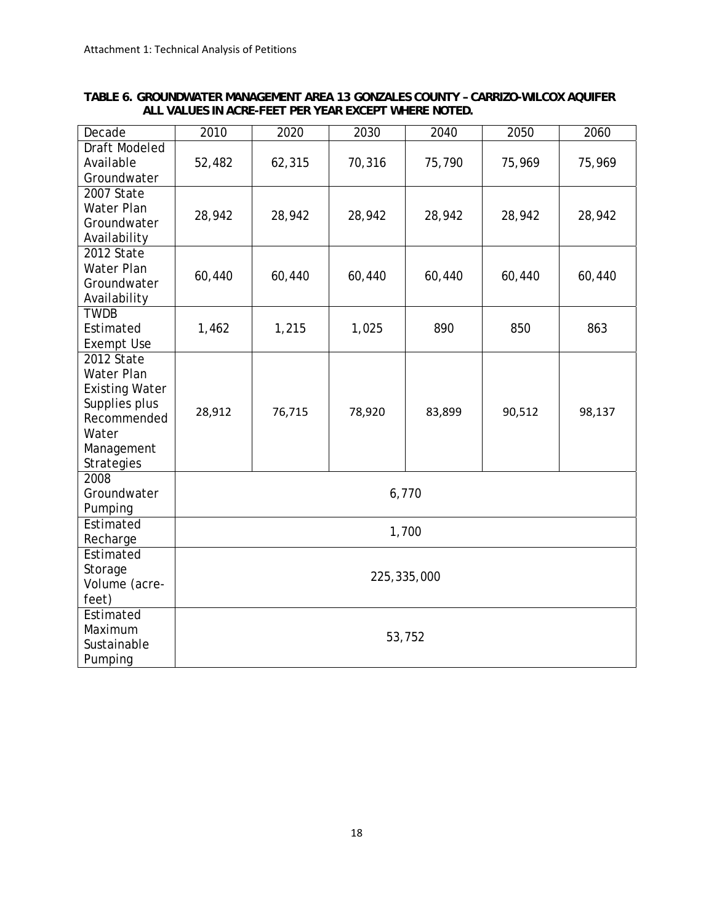| TABLE 6. GROUNDWATER MANAGEMENT AREA 13 GONZALES COUNTY - CARRIZO-WILCOX AQUIFER |  |  |  |
|----------------------------------------------------------------------------------|--|--|--|
| ALL VALUES IN ACRE-FEET PER YEAR EXCEPT WHERE NOTED.                             |  |  |  |

| Decade                       | 2010        | 2020   | 2030   | 2040   | 2050   | 2060   |  |
|------------------------------|-------------|--------|--------|--------|--------|--------|--|
| Draft Modeled                |             |        |        |        |        |        |  |
| Available<br>Groundwater     | 52,482      | 62,315 | 70,316 | 75,790 | 75,969 | 75,969 |  |
| 2007 State                   |             |        |        |        |        |        |  |
| Water Plan                   |             |        |        |        |        |        |  |
| Groundwater                  | 28,942      | 28,942 | 28,942 | 28,942 | 28,942 | 28,942 |  |
| Availability                 |             |        |        |        |        |        |  |
| 2012 State                   |             |        |        |        |        |        |  |
| Water Plan                   | 60,440      | 60,440 | 60,440 | 60,440 | 60,440 | 60,440 |  |
| Groundwater                  |             |        |        |        |        |        |  |
| Availability<br><b>TWDB</b>  |             |        |        |        |        |        |  |
| Estimated                    | 1,462       | 1,215  | 1,025  | 890    | 850    | 863    |  |
| <b>Exempt Use</b>            |             |        |        |        |        |        |  |
| 2012 State                   |             |        |        |        |        |        |  |
| <b>Water Plan</b>            |             |        |        |        |        |        |  |
| <b>Existing Water</b>        |             |        |        |        |        |        |  |
| Supplies plus<br>Recommended | 28,912      | 76,715 | 78,920 | 83,899 | 90,512 | 98,137 |  |
| Water                        |             |        |        |        |        |        |  |
| Management                   |             |        |        |        |        |        |  |
| <b>Strategies</b>            |             |        |        |        |        |        |  |
| 2008                         |             |        |        |        |        |        |  |
| Groundwater                  |             |        |        | 6,770  |        |        |  |
| Pumping                      |             |        |        |        |        |        |  |
| Estimated                    |             |        |        | 1,700  |        |        |  |
| Recharge<br>Estimated        |             |        |        |        |        |        |  |
| Storage                      |             |        |        |        |        |        |  |
| Volume (acre-                | 225,335,000 |        |        |        |        |        |  |
| feet)                        |             |        |        |        |        |        |  |
| Estimated                    |             |        |        |        |        |        |  |
| Maximum                      | 53,752      |        |        |        |        |        |  |
| Sustainable                  |             |        |        |        |        |        |  |
| Pumping                      |             |        |        |        |        |        |  |

18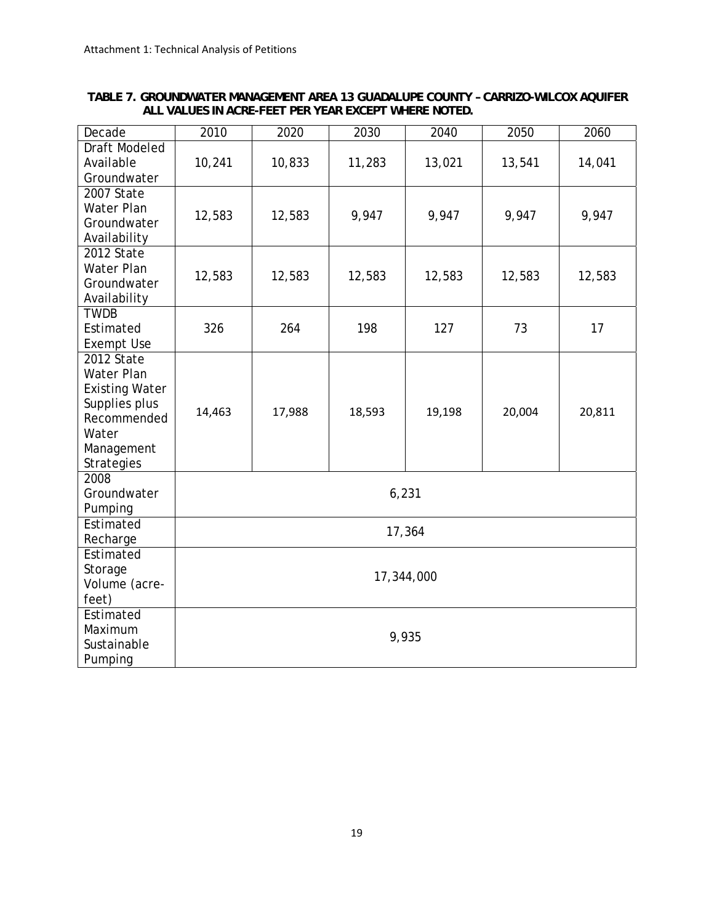| TABLE 7. GROUNDWATER MANAGEMENT AREA 13 GUADALUPE COUNTY - CARRIZO-WILCOX AQUIFER |  |
|-----------------------------------------------------------------------------------|--|
| ALL VALUES IN ACRE-FEET PER YEAR EXCEPT WHERE NOTED.                              |  |

| Decade                                 | 2010   | 2020   | 2030   | 2040       | 2050   | 2060   |  |  |
|----------------------------------------|--------|--------|--------|------------|--------|--------|--|--|
| Draft Modeled<br>Available             | 10,241 | 10,833 | 11,283 | 13,021     | 13,541 | 14,041 |  |  |
| Groundwater                            |        |        |        |            |        |        |  |  |
| 2007 State                             |        |        |        |            |        |        |  |  |
| Water Plan<br>Groundwater              | 12,583 | 12,583 | 9,947  | 9,947      | 9,947  | 9,947  |  |  |
| Availability                           |        |        |        |            |        |        |  |  |
| 2012 State                             |        |        |        |            |        |        |  |  |
| Water Plan<br>Groundwater              | 12,583 | 12,583 | 12,583 | 12,583     | 12,583 | 12,583 |  |  |
| Availability                           |        |        |        |            |        |        |  |  |
| <b>TWDB</b>                            |        |        |        |            |        |        |  |  |
| Estimated<br><b>Exempt Use</b>         | 326    | 264    | 198    | 127        | 73     | 17     |  |  |
| 2012 State                             |        |        |        |            |        |        |  |  |
| <b>Water Plan</b>                      |        |        |        |            |        |        |  |  |
| <b>Existing Water</b><br>Supplies plus |        |        |        |            |        |        |  |  |
| Recommended                            | 14,463 | 17,988 | 18,593 | 19,198     | 20,004 | 20,811 |  |  |
| Water                                  |        |        |        |            |        |        |  |  |
| Management<br><b>Strategies</b>        |        |        |        |            |        |        |  |  |
| 2008                                   |        |        |        |            |        |        |  |  |
| Groundwater                            |        |        | 6,231  |            |        |        |  |  |
| Pumping                                |        |        |        |            |        |        |  |  |
| Estimated<br>Recharge                  |        |        |        | 17,364     |        |        |  |  |
| Estimated                              |        |        |        |            |        |        |  |  |
| Storage                                |        |        |        | 17,344,000 |        |        |  |  |
| Volume (acre-<br>feet)                 |        |        |        |            |        |        |  |  |
| Estimated                              |        |        |        |            |        |        |  |  |
| Maximum                                |        |        |        | 9,935      |        |        |  |  |
| Sustainable                            |        |        |        |            |        |        |  |  |
| Pumping                                |        |        |        |            |        |        |  |  |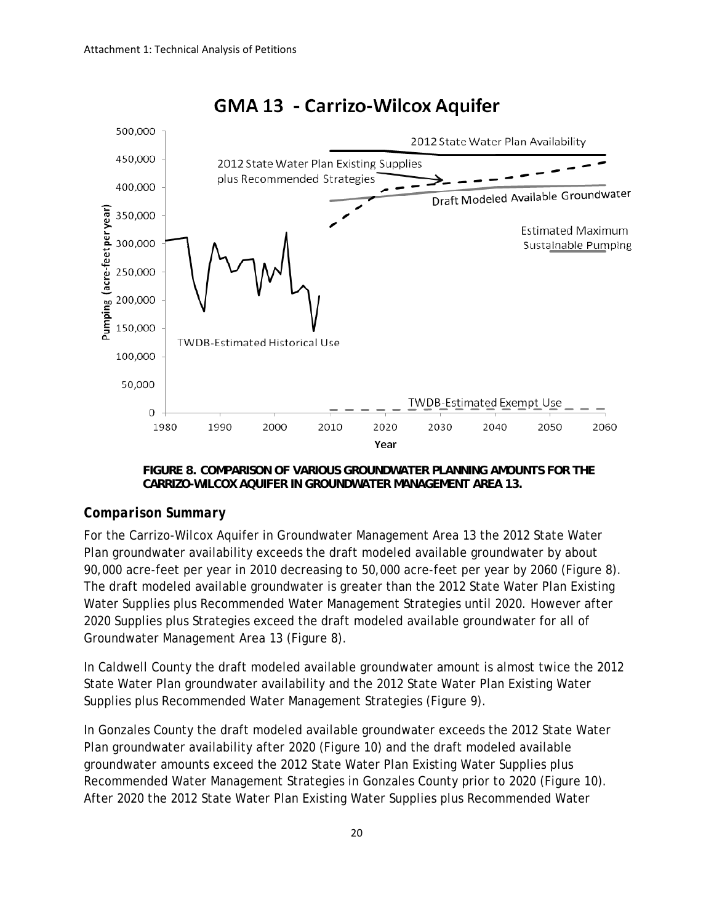

# **GMA 13 - Carrizo-Wilcox Aquifer**

**FIGURE 8. COMPARISON OF VARIOUS GROUNDWATER PLANNING AMOUNTS FOR THE CARRIZO-WILCOX AQUIFER IN GROUNDWATER MANAGEMENT AREA 13.** 

### *Comparison Summary*

For the Carrizo-Wilcox Aquifer in Groundwater Management Area 13 the 2012 State Water Plan groundwater availability exceeds the draft modeled available groundwater by about 90,000 acre-feet per year in 2010 decreasing to 50,000 acre-feet per year by 2060 (Figure 8). The draft modeled available groundwater is greater than the 2012 State Water Plan Existing Water Supplies plus Recommended Water Management Strategies until 2020. However after 2020 Supplies plus Strategies exceed the draft modeled available groundwater for all of Groundwater Management Area 13 (Figure 8).

In Caldwell County the draft modeled available groundwater amount is almost twice the 2012 State Water Plan groundwater availability and the 2012 State Water Plan Existing Water Supplies plus Recommended Water Management Strategies (Figure 9).

In Gonzales County the draft modeled available groundwater exceeds the 2012 State Water Plan groundwater availability after 2020 (Figure 10) and the draft modeled available groundwater amounts exceed the 2012 State Water Plan Existing Water Supplies plus Recommended Water Management Strategies in Gonzales County prior to 2020 (Figure 10). After 2020 the 2012 State Water Plan Existing Water Supplies plus Recommended Water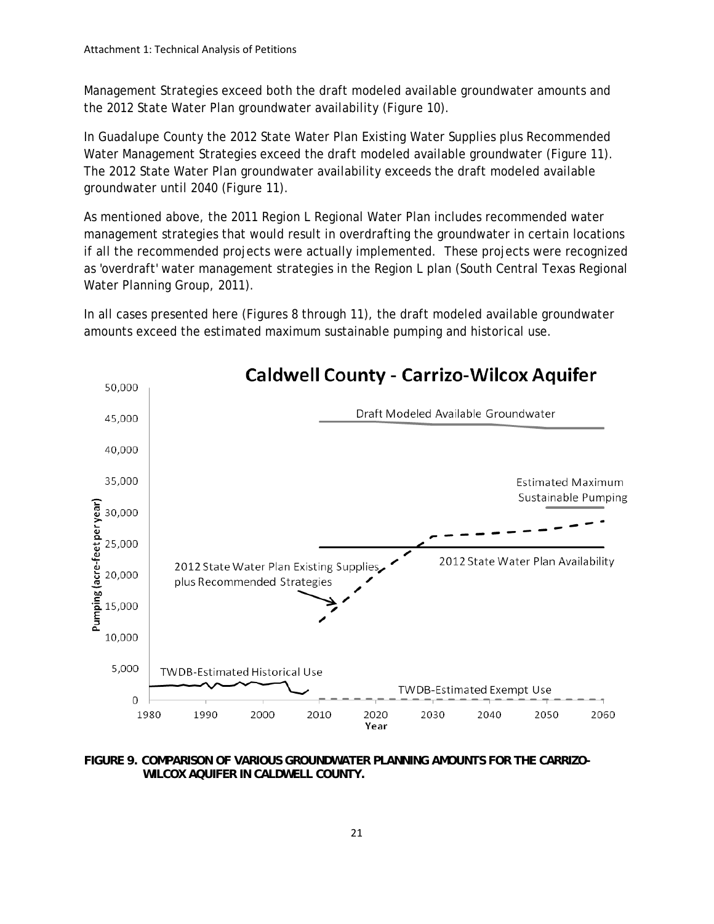Management Strategies exceed both the draft modeled available groundwater amounts and the 2012 State Water Plan groundwater availability (Figure 10).

In Guadalupe County the 2012 State Water Plan Existing Water Supplies plus Recommended Water Management Strategies exceed the draft modeled available groundwater (Figure 11). The 2012 State Water Plan groundwater availability exceeds the draft modeled available groundwater until 2040 (Figure 11).

As mentioned above, the 2011 Region L Regional Water Plan includes recommended water management strategies that would result in overdrafting the groundwater in certain locations if all the recommended projects were actually implemented. These projects were recognized as 'overdraft' water management strategies in the Region L plan (South Central Texas Regional Water Planning Group, 2011).

In all cases presented here (Figures 8 through 11), the draft modeled available groundwater amounts exceed the estimated maximum sustainable pumping and historical use.



**FIGURE 9. COMPARISON OF VARIOUS GROUNDWATER PLANNING AMOUNTS FOR THE CARRIZO-WILCOX AQUIFER IN CALDWELL COUNTY.**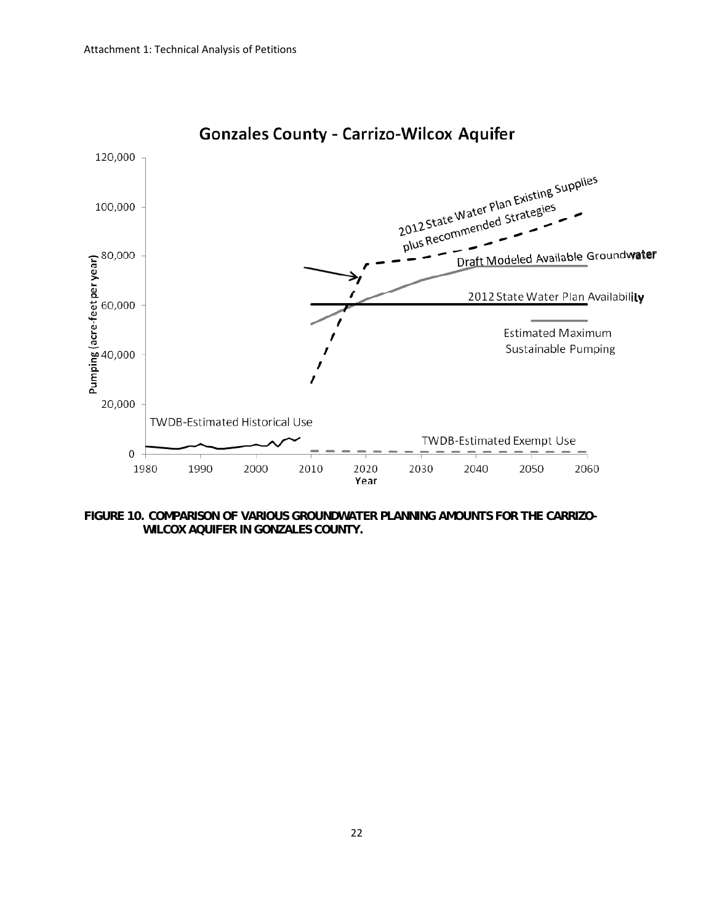

# **Gonzales County - Carrizo-Wilcox Aquifer**

**FIGURE 10. COMPARISON OF VARIOUS GROUNDWATER PLANNING AMOUNTS FOR THE CARRIZO-WILCOX AQUIFER IN GONZALES COUNTY.**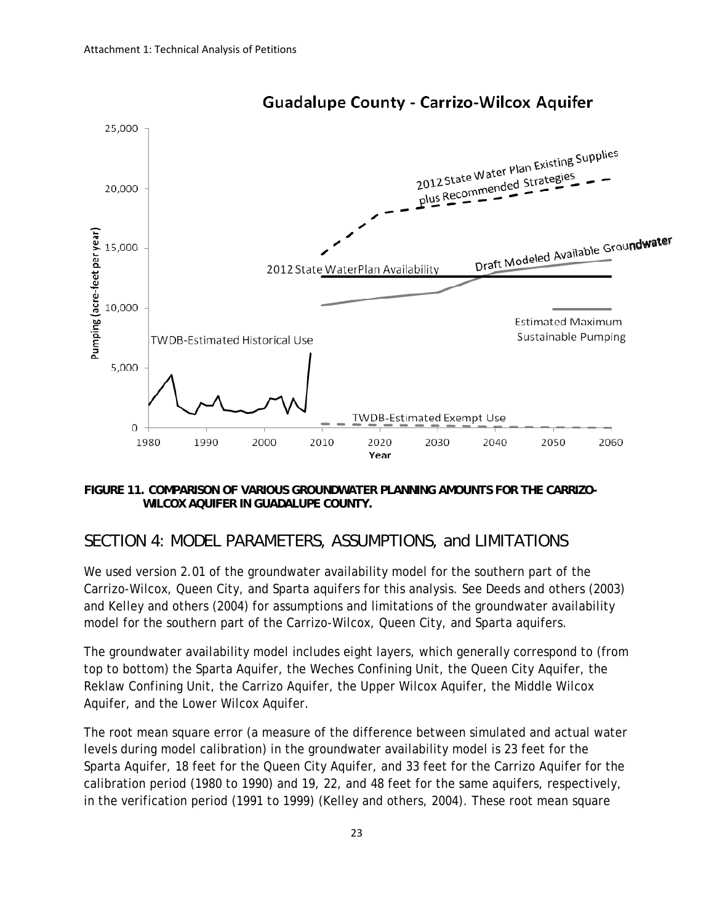

**Guadalupe County - Carrizo-Wilcox Aquifer** 

#### **FIGURE 11. COMPARISON OF VARIOUS GROUNDWATER PLANNING AMOUNTS FOR THE CARRIZO-WILCOX AQUIFER IN GUADALUPE COUNTY.**

## *SECTION 4: MODEL PARAMETERS, ASSUMPTIONS, and LIMITATIONS*

We used version 2.01 of the groundwater availability model for the southern part of the Carrizo-Wilcox, Queen City, and Sparta aquifers for this analysis. See Deeds and others (2003) and Kelley and others (2004) for assumptions and limitations of the groundwater availability model for the southern part of the Carrizo-Wilcox, Queen City, and Sparta aquifers.

The groundwater availability model includes eight layers, which generally correspond to (from top to bottom) the Sparta Aquifer, the Weches Confining Unit, the Queen City Aquifer, the Reklaw Confining Unit, the Carrizo Aquifer, the Upper Wilcox Aquifer, the Middle Wilcox Aquifer, and the Lower Wilcox Aquifer.

The root mean square error (a measure of the difference between simulated and actual water levels during model calibration) in the groundwater availability model is 23 feet for the Sparta Aquifer, 18 feet for the Queen City Aquifer, and 33 feet for the Carrizo Aquifer for the calibration period (1980 to 1990) and 19, 22, and 48 feet for the same aquifers, respectively, in the verification period (1991 to 1999) (Kelley and others, 2004). These root mean square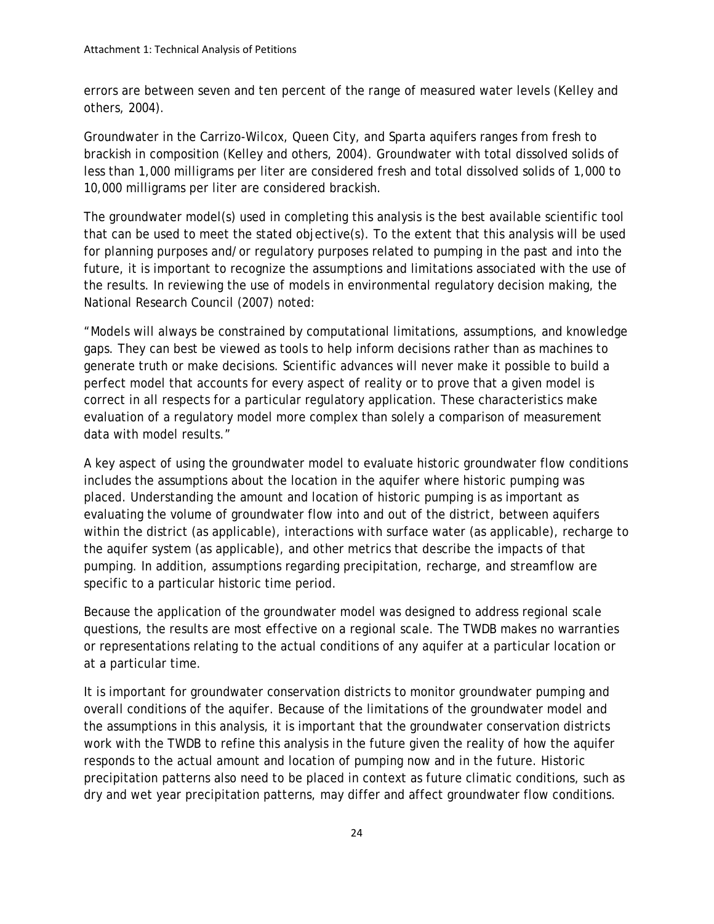errors are between seven and ten percent of the range of measured water levels (Kelley and others, 2004).

Groundwater in the Carrizo-Wilcox, Queen City, and Sparta aquifers ranges from fresh to brackish in composition (Kelley and others, 2004). Groundwater with total dissolved solids of less than 1,000 milligrams per liter are considered fresh and total dissolved solids of 1,000 to 10,000 milligrams per liter are considered brackish.

The groundwater model(s) used in completing this analysis is the best available scientific tool that can be used to meet the stated objective(s). To the extent that this analysis will be used for planning purposes and/or regulatory purposes related to pumping in the past and into the future, it is important to recognize the assumptions and limitations associated with the use of the results. In reviewing the use of models in environmental regulatory decision making, the National Research Council (2007) noted:

"Models will always be constrained by computational limitations, assumptions, and knowledge gaps. They can best be viewed as tools to help inform decisions rather than as machines to generate truth or make decisions. Scientific advances will never make it possible to build a perfect model that accounts for every aspect of reality or to prove that a given model is correct in all respects for a particular regulatory application. These characteristics make evaluation of a regulatory model more complex than solely a comparison of measurement data with model results."

A key aspect of using the groundwater model to evaluate historic groundwater flow conditions includes the assumptions about the location in the aquifer where historic pumping was placed. Understanding the amount and location of historic pumping is as important as evaluating the volume of groundwater flow into and out of the district, between aquifers within the district (as applicable), interactions with surface water (as applicable), recharge to the aquifer system (as applicable), and other metrics that describe the impacts of that pumping. In addition, assumptions regarding precipitation, recharge, and streamflow are specific to a particular historic time period.

Because the application of the groundwater model was designed to address regional scale questions, the results are most effective on a regional scale. The TWDB makes no warranties or representations relating to the actual conditions of any aquifer at a particular location or at a particular time.

It is important for groundwater conservation districts to monitor groundwater pumping and overall conditions of the aquifer. Because of the limitations of the groundwater model and the assumptions in this analysis, it is important that the groundwater conservation districts work with the TWDB to refine this analysis in the future given the reality of how the aquifer responds to the actual amount and location of pumping now and in the future. Historic precipitation patterns also need to be placed in context as future climatic conditions, such as dry and wet year precipitation patterns, may differ and affect groundwater flow conditions.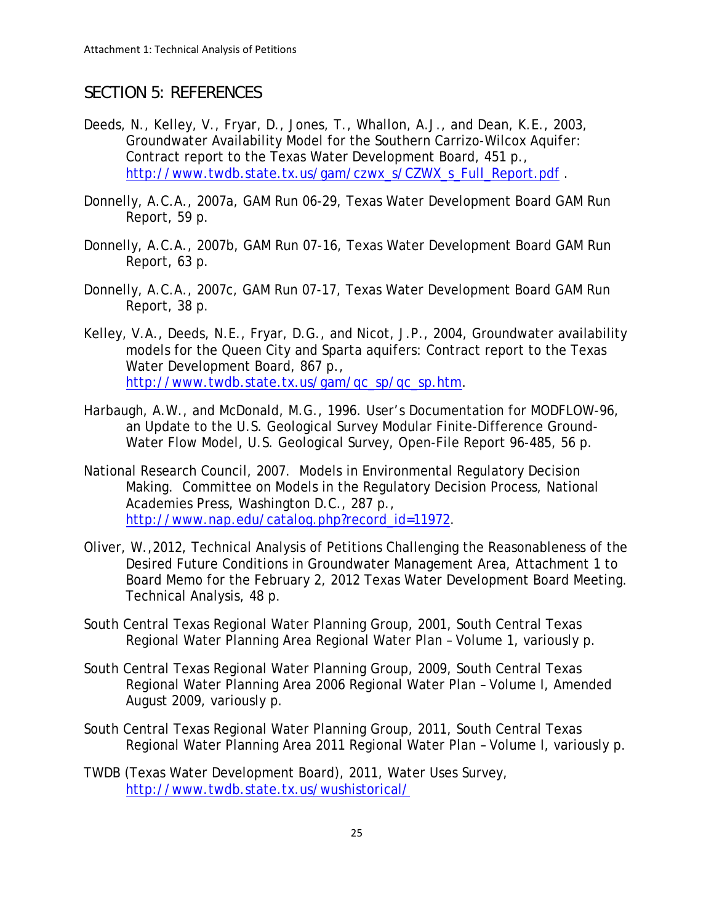## *SECTION 5: REFERENCES*

- Deeds, N., Kelley, V., Fryar, D., Jones, T., Whallon, A.J., and Dean, K.E., 2003, Groundwater Availability Model for the Southern Carrizo-Wilcox Aquifer: Contract report to the Texas Water Development Board, 451 p., [http://www.twdb.state.tx.us/gam/czwx\\_s/CZWX\\_s\\_Full\\_Report.pdf](http://www.twdb.state.tx.us/gam/czwx_s/CZWX_s_Full_Report.pdf).
- Donnelly, A.C.A., 2007a, GAM Run 06-29, Texas Water Development Board GAM Run Report, 59 p.
- Donnelly, A.C.A., 2007b, GAM Run 07-16, Texas Water Development Board GAM Run Report, 63 p.
- Donnelly, A.C.A., 2007c, GAM Run 07-17, Texas Water Development Board GAM Run Report, 38 p.
- Kelley, V.A., Deeds, N.E., Fryar, D.G., and Nicot, J.P., 2004, Groundwater availability models for the Queen City and Sparta aquifers: Contract report to the Texas Water Development Board, 867 p., [http://www.twdb.state.tx.us/gam/qc\\_sp/qc\\_sp.htm](http://www.twdb.state.tx.us/gam/qc_sp/qc_sp.htm).
- Harbaugh, A.W., and McDonald, M.G., 1996. User's Documentation for MODFLOW-96, an Update to the U.S. Geological Survey Modular Finite-Difference Ground-Water Flow Model, U.S. Geological Survey, Open-File Report 96-485, 56 p.
- National Research Council, 2007. Models in Environmental Regulatory Decision Making. Committee on Models in the Regulatory Decision Process, National Academies Press, Washington D.C., 287 p., [http://www.nap.edu/catalog.php?record\\_id=11972](http://www.nap.edu/catalog.php?record_id=11972).
- Oliver, W.,2012, Technical Analysis of Petitions Challenging the Reasonableness of the Desired Future Conditions in Groundwater Management Area, Attachment 1 to Board Memo for the February 2, 2012 Texas Water Development Board Meeting. Technical Analysis, 48 p.
- South Central Texas Regional Water Planning Group, 2001, South Central Texas Regional Water Planning Area Regional Water Plan – Volume 1, variously p.
- South Central Texas Regional Water Planning Group, 2009, South Central Texas Regional Water Planning Area 2006 Regional Water Plan – Volume I, Amended August 2009, variously p.
- South Central Texas Regional Water Planning Group, 2011, South Central Texas Regional Water Planning Area 2011 Regional Water Plan – Volume I, variously p.
- TWDB (Texas Water Development Board), 2011, Water Uses Survey, <http://www.twdb.state.tx.us/wushistorical/>